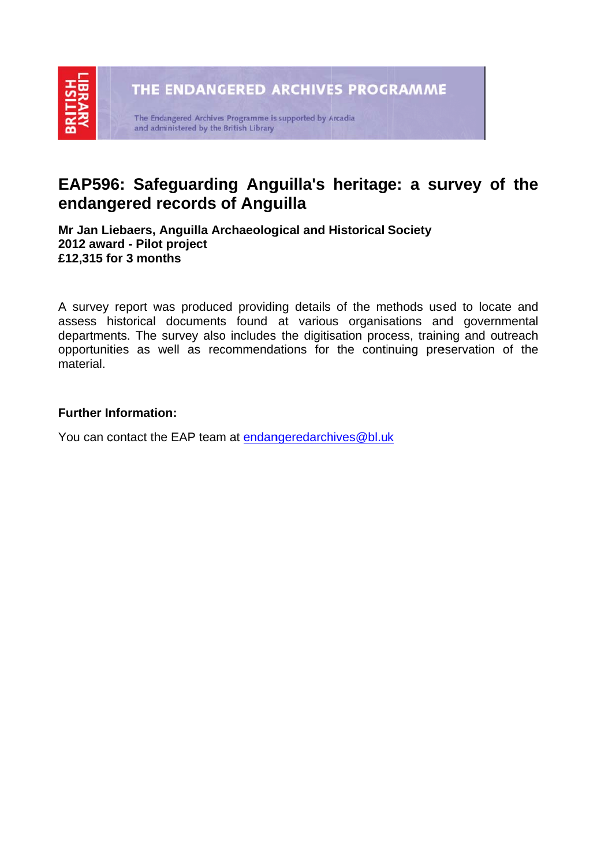### EAP596: Safeguarding Anguilla's heritage: a survey of the endangered records of Anguilla

**Mr Jan Li iebaers, A Anguilla Ar rchaeolog gical and H Historical Society 2012 awa ard - Pilot project £12,315 f for 3 mont ths** 

A survey report was produced providing details of the methods used to locate and assess historical documents found at various organisations and governmental departments. The survey also includes the digitisation process, training and outreach opportunities as well as recommendations for the continuing preservation of the material.

### **Further Information:**

You can contact the EAP team at <u>endangeredarchives@bl.uk</u>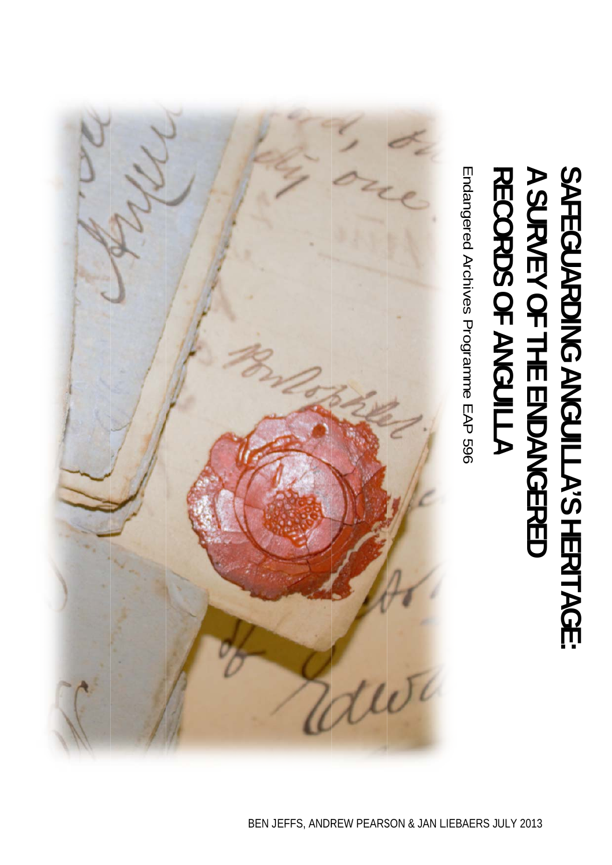# **RECORDS OF ANGUILLA A SURVEY OF THE ENDANGERED** יוויים<br>הייתור הייתור הייתור הייתור הייתור הייתור הייתור הייתור הייתור הייתור הייתור הייתור הייתור הייתור הייתור הייתו<br>הייתור הייתור הייתור הייתור הייתור הייתור הייתור הייתור הייתור הייתור הייתור הייתור הייתור הייתור הייתו **SAFEGUARDING ANGUILLA'S HERITAGE:**

Endangered Archives Programme EAP 596 Endangered Archives Programme EAP 596

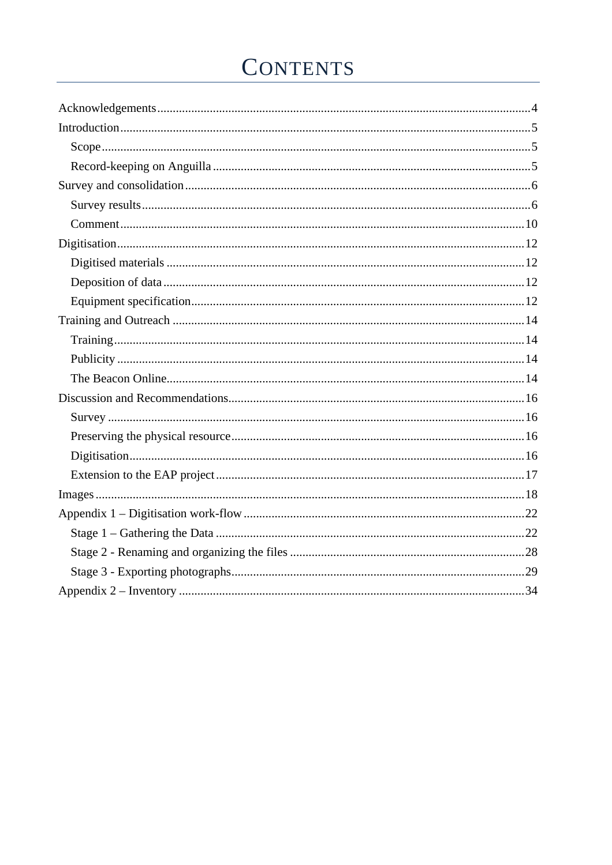## **CONTENTS**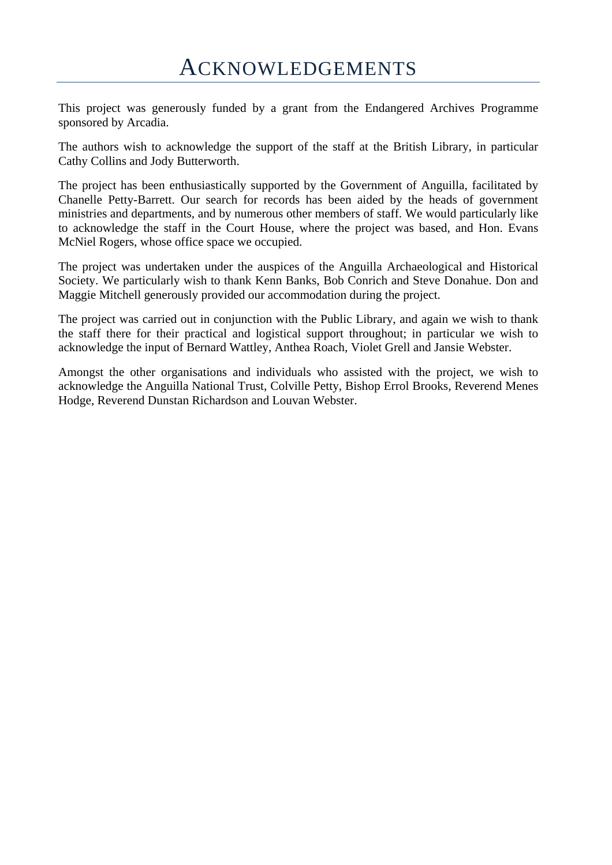This project was generously funded by a grant from the Endangered Archives Programme sponsored by Arcadia.

The authors wish to acknowledge the support of the staff at the British Library, in particular Cathy Collins and Jody Butterworth.

The project has been enthusiastically supported by the Government of Anguilla, facilitated by Chanelle Petty-Barrett. Our search for records has been aided by the heads of government ministries and departments, and by numerous other members of staff. We would particularly like to acknowledge the staff in the Court House, where the project was based, and Hon. Evans McNiel Rogers, whose office space we occupied.

The project was undertaken under the auspices of the Anguilla Archaeological and Historical Society. We particularly wish to thank Kenn Banks, Bob Conrich and Steve Donahue. Don and Maggie Mitchell generously provided our accommodation during the project.

The project was carried out in conjunction with the Public Library, and again we wish to thank the staff there for their practical and logistical support throughout; in particular we wish to acknowledge the input of Bernard Wattley, Anthea Roach, Violet Grell and Jansie Webster.

Amongst the other organisations and individuals who assisted with the project, we wish to acknowledge the Anguilla National Trust, Colville Petty, Bishop Errol Brooks, Reverend Menes Hodge, Reverend Dunstan Richardson and Louvan Webster.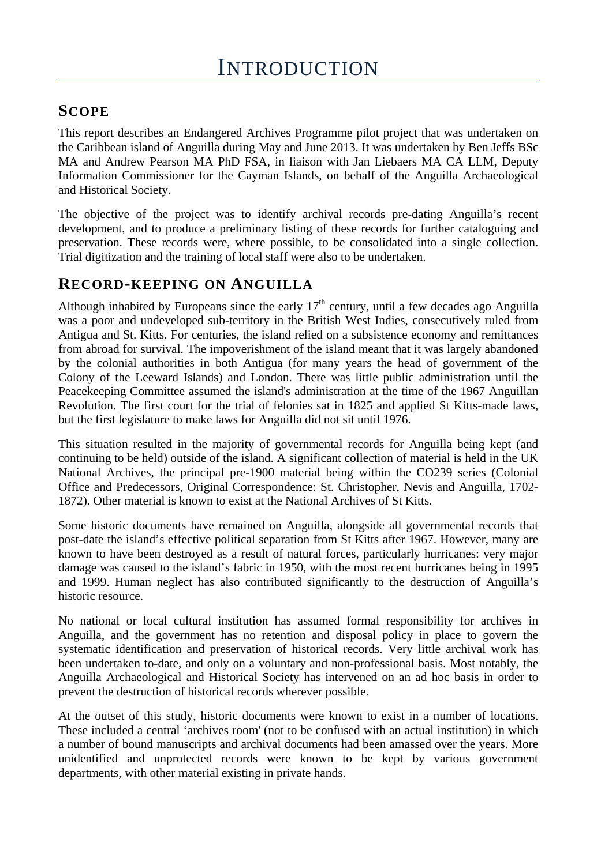### **SCOPE**

This report describes an Endangered Archives Programme pilot project that was undertaken on the Caribbean island of Anguilla during May and June 2013. It was undertaken by Ben Jeffs BSc MA and Andrew Pearson MA PhD FSA, in liaison with Jan Liebaers MA CA LLM, Deputy Information Commissioner for the Cayman Islands, on behalf of the Anguilla Archaeological and Historical Society.

The objective of the project was to identify archival records pre-dating Anguilla's recent development, and to produce a preliminary listing of these records for further cataloguing and preservation. These records were, where possible, to be consolidated into a single collection. Trial digitization and the training of local staff were also to be undertaken.

### **RECORD-KEEPING ON ANGUILLA**

Although inhabited by Europeans since the early  $17<sup>th</sup>$  century, until a few decades ago Anguilla was a poor and undeveloped sub-territory in the British West Indies, consecutively ruled from Antigua and St. Kitts. For centuries, the island relied on a subsistence economy and remittances from abroad for survival. The impoverishment of the island meant that it was largely abandoned by the colonial authorities in both Antigua (for many years the head of government of the Colony of the Leeward Islands) and London. There was little public administration until the Peacekeeping Committee assumed the island's administration at the time of the 1967 Anguillan Revolution. The first court for the trial of felonies sat in 1825 and applied St Kitts-made laws, but the first legislature to make laws for Anguilla did not sit until 1976.

This situation resulted in the majority of governmental records for Anguilla being kept (and continuing to be held) outside of the island. A significant collection of material is held in the UK National Archives, the principal pre-1900 material being within the CO239 series (Colonial Office and Predecessors, Original Correspondence: St. Christopher, Nevis and Anguilla, 1702- 1872). Other material is known to exist at the National Archives of St Kitts.

Some historic documents have remained on Anguilla, alongside all governmental records that post-date the island's effective political separation from St Kitts after 1967. However, many are known to have been destroyed as a result of natural forces, particularly hurricanes: very major damage was caused to the island's fabric in 1950, with the most recent hurricanes being in 1995 and 1999. Human neglect has also contributed significantly to the destruction of Anguilla's historic resource.

No national or local cultural institution has assumed formal responsibility for archives in Anguilla, and the government has no retention and disposal policy in place to govern the systematic identification and preservation of historical records. Very little archival work has been undertaken to-date, and only on a voluntary and non-professional basis. Most notably, the Anguilla Archaeological and Historical Society has intervened on an ad hoc basis in order to prevent the destruction of historical records wherever possible.

At the outset of this study, historic documents were known to exist in a number of locations. These included a central 'archives room' (not to be confused with an actual institution) in which a number of bound manuscripts and archival documents had been amassed over the years. More unidentified and unprotected records were known to be kept by various government departments, with other material existing in private hands.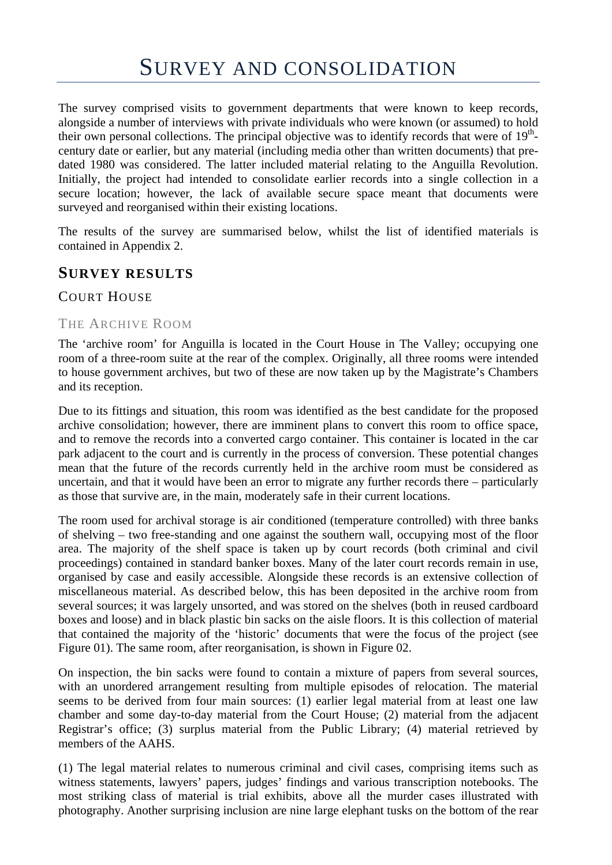The survey comprised visits to government departments that were known to keep records, alongside a number of interviews with private individuals who were known (or assumed) to hold their own personal collections. The principal objective was to identify records that were of  $19<sup>th</sup>$ century date or earlier, but any material (including media other than written documents) that predated 1980 was considered. The latter included material relating to the Anguilla Revolution. Initially, the project had intended to consolidate earlier records into a single collection in a secure location; however, the lack of available secure space meant that documents were surveyed and reorganised within their existing locations.

The results of the survey are summarised below, whilst the list of identified materials is contained in Appendix 2.

### **SURVEY RESULTS**

### COURT HOUSE

#### THE ARCHIVE ROOM

The 'archive room' for Anguilla is located in the Court House in The Valley; occupying one room of a three-room suite at the rear of the complex. Originally, all three rooms were intended to house government archives, but two of these are now taken up by the Magistrate's Chambers and its reception.

Due to its fittings and situation, this room was identified as the best candidate for the proposed archive consolidation; however, there are imminent plans to convert this room to office space, and to remove the records into a converted cargo container. This container is located in the car park adjacent to the court and is currently in the process of conversion. These potential changes mean that the future of the records currently held in the archive room must be considered as uncertain, and that it would have been an error to migrate any further records there – particularly as those that survive are, in the main, moderately safe in their current locations.

The room used for archival storage is air conditioned (temperature controlled) with three banks of shelving – two free-standing and one against the southern wall, occupying most of the floor area. The majority of the shelf space is taken up by court records (both criminal and civil proceedings) contained in standard banker boxes. Many of the later court records remain in use, organised by case and easily accessible. Alongside these records is an extensive collection of miscellaneous material. As described below, this has been deposited in the archive room from several sources; it was largely unsorted, and was stored on the shelves (both in reused cardboard boxes and loose) and in black plastic bin sacks on the aisle floors. It is this collection of material that contained the majority of the 'historic' documents that were the focus of the project (see Figure 01). The same room, after reorganisation, is shown in Figure 02.

On inspection, the bin sacks were found to contain a mixture of papers from several sources, with an unordered arrangement resulting from multiple episodes of relocation. The material seems to be derived from four main sources: (1) earlier legal material from at least one law chamber and some day-to-day material from the Court House; (2) material from the adjacent Registrar's office; (3) surplus material from the Public Library; (4) material retrieved by members of the AAHS.

(1) The legal material relates to numerous criminal and civil cases, comprising items such as witness statements, lawyers' papers, judges' findings and various transcription notebooks. The most striking class of material is trial exhibits, above all the murder cases illustrated with photography. Another surprising inclusion are nine large elephant tusks on the bottom of the rear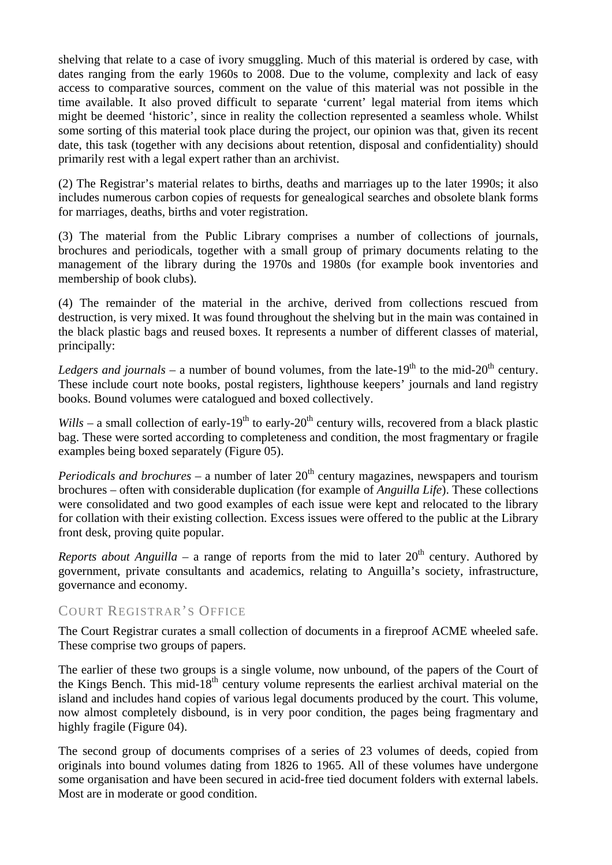shelving that relate to a case of ivory smuggling. Much of this material is ordered by case, with dates ranging from the early 1960s to 2008. Due to the volume, complexity and lack of easy access to comparative sources, comment on the value of this material was not possible in the time available. It also proved difficult to separate 'current' legal material from items which might be deemed 'historic', since in reality the collection represented a seamless whole. Whilst some sorting of this material took place during the project, our opinion was that, given its recent date, this task (together with any decisions about retention, disposal and confidentiality) should primarily rest with a legal expert rather than an archivist.

(2) The Registrar's material relates to births, deaths and marriages up to the later 1990s; it also includes numerous carbon copies of requests for genealogical searches and obsolete blank forms for marriages, deaths, births and voter registration.

(3) The material from the Public Library comprises a number of collections of journals, brochures and periodicals, together with a small group of primary documents relating to the management of the library during the 1970s and 1980s (for example book inventories and membership of book clubs).

(4) The remainder of the material in the archive, derived from collections rescued from destruction, is very mixed. It was found throughout the shelving but in the main was contained in the black plastic bags and reused boxes. It represents a number of different classes of material, principally:

*Ledgers and journals* – a number of bound volumes, from the late-19<sup>th</sup> to the mid-20<sup>th</sup> century. These include court note books, postal registers, lighthouse keepers' journals and land registry books. Bound volumes were catalogued and boxed collectively.

*Wills* – a small collection of early-19<sup>th</sup> to early-20<sup>th</sup> century wills, recovered from a black plastic bag. These were sorted according to completeness and condition, the most fragmentary or fragile examples being boxed separately (Figure 05).

*Periodicals and brochures* – a number of later  $20<sup>th</sup>$  century magazines, newspapers and tourism brochures – often with considerable duplication (for example of *Anguilla Life*). These collections were consolidated and two good examples of each issue were kept and relocated to the library for collation with their existing collection. Excess issues were offered to the public at the Library front desk, proving quite popular.

*Reports about Anguilla* – a range of reports from the mid to later  $20<sup>th</sup>$  century. Authored by government, private consultants and academics, relating to Anguilla's society, infrastructure, governance and economy.

#### COURT REGISTRAR'S OFFICE

The Court Registrar curates a small collection of documents in a fireproof ACME wheeled safe. These comprise two groups of papers.

The earlier of these two groups is a single volume, now unbound, of the papers of the Court of the Kings Bench. This mid-18<sup>th</sup> century volume represents the earliest archival material on the island and includes hand copies of various legal documents produced by the court. This volume, now almost completely disbound, is in very poor condition, the pages being fragmentary and highly fragile (Figure 04).

The second group of documents comprises of a series of 23 volumes of deeds, copied from originals into bound volumes dating from 1826 to 1965. All of these volumes have undergone some organisation and have been secured in acid-free tied document folders with external labels. Most are in moderate or good condition.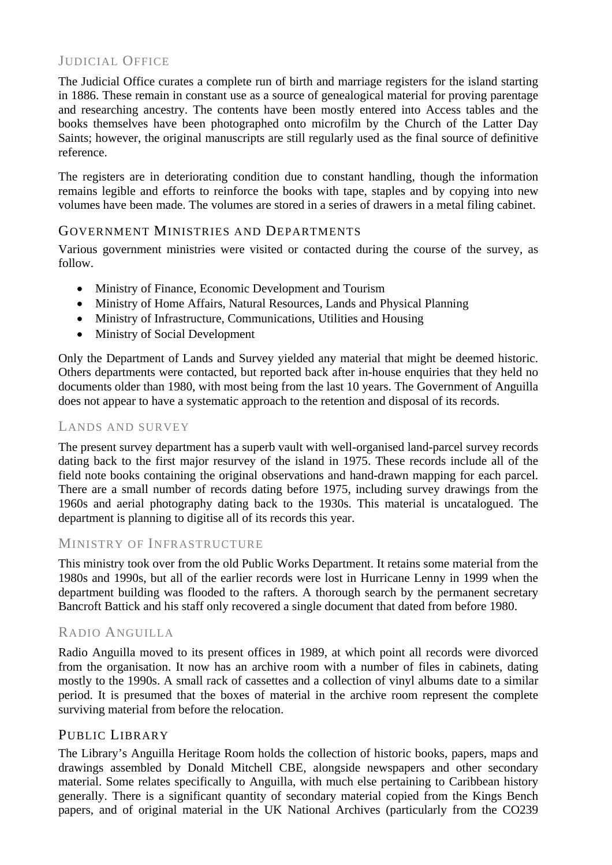### JUDICIAL OFFICE

The Judicial Office curates a complete run of birth and marriage registers for the island starting in 1886. These remain in constant use as a source of genealogical material for proving parentage and researching ancestry. The contents have been mostly entered into Access tables and the books themselves have been photographed onto microfilm by the Church of the Latter Day Saints; however, the original manuscripts are still regularly used as the final source of definitive reference.

The registers are in deteriorating condition due to constant handling, though the information remains legible and efforts to reinforce the books with tape, staples and by copying into new volumes have been made. The volumes are stored in a series of drawers in a metal filing cabinet.

### GOVERNMENT MINISTRIES AND DEPARTMENTS

Various government ministries were visited or contacted during the course of the survey, as follow.

- Ministry of Finance, Economic Development and Tourism
- Ministry of Home Affairs, Natural Resources, Lands and Physical Planning
- Ministry of Infrastructure, Communications, Utilities and Housing
- Ministry of Social Development

Only the Department of Lands and Survey yielded any material that might be deemed historic. Others departments were contacted, but reported back after in-house enquiries that they held no documents older than 1980, with most being from the last 10 years. The Government of Anguilla does not appear to have a systematic approach to the retention and disposal of its records.

#### LANDS AND SURVEY

The present survey department has a superb vault with well-organised land-parcel survey records dating back to the first major resurvey of the island in 1975. These records include all of the field note books containing the original observations and hand-drawn mapping for each parcel. There are a small number of records dating before 1975, including survey drawings from the 1960s and aerial photography dating back to the 1930s. This material is uncatalogued. The department is planning to digitise all of its records this year.

#### MINISTRY OF INFRASTRUCTURE

This ministry took over from the old Public Works Department. It retains some material from the 1980s and 1990s, but all of the earlier records were lost in Hurricane Lenny in 1999 when the department building was flooded to the rafters. A thorough search by the permanent secretary Bancroft Battick and his staff only recovered a single document that dated from before 1980.

#### RADIO ANGUILLA

Radio Anguilla moved to its present offices in 1989, at which point all records were divorced from the organisation. It now has an archive room with a number of files in cabinets, dating mostly to the 1990s. A small rack of cassettes and a collection of vinyl albums date to a similar period. It is presumed that the boxes of material in the archive room represent the complete surviving material from before the relocation.

#### PUBLIC LIBRARY

The Library's Anguilla Heritage Room holds the collection of historic books, papers, maps and drawings assembled by Donald Mitchell CBE, alongside newspapers and other secondary material. Some relates specifically to Anguilla, with much else pertaining to Caribbean history generally. There is a significant quantity of secondary material copied from the Kings Bench papers, and of original material in the UK National Archives (particularly from the CO239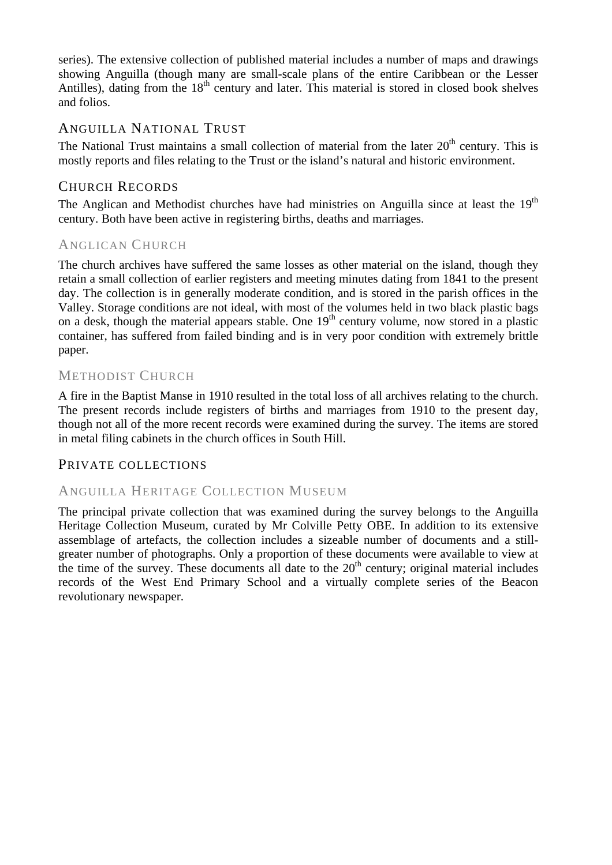series). The extensive collection of published material includes a number of maps and drawings showing Anguilla (though many are small-scale plans of the entire Caribbean or the Lesser Antilles), dating from the  $18<sup>th</sup>$  century and later. This material is stored in closed book shelves and folios.

### ANGUILLA NATIONAL TRUST

The National Trust maintains a small collection of material from the later  $20<sup>th</sup>$  century. This is mostly reports and files relating to the Trust or the island's natural and historic environment.

### CHURCH RECORDS

The Anglican and Methodist churches have had ministries on Anguilla since at least the  $19<sup>th</sup>$ century. Both have been active in registering births, deaths and marriages.

### ANGLICAN CHURCH

The church archives have suffered the same losses as other material on the island, though they retain a small collection of earlier registers and meeting minutes dating from 1841 to the present day. The collection is in generally moderate condition, and is stored in the parish offices in the Valley. Storage conditions are not ideal, with most of the volumes held in two black plastic bags on a desk, though the material appears stable. One  $19<sup>th</sup>$  century volume, now stored in a plastic container, has suffered from failed binding and is in very poor condition with extremely brittle paper.

### METHODIST CHURCH

A fire in the Baptist Manse in 1910 resulted in the total loss of all archives relating to the church. The present records include registers of births and marriages from 1910 to the present day, though not all of the more recent records were examined during the survey. The items are stored in metal filing cabinets in the church offices in South Hill.

### PRIVATE COLLECTIONS

### ANGUILLA HERITAGE COLLECTION MUSEUM

The principal private collection that was examined during the survey belongs to the Anguilla Heritage Collection Museum, curated by Mr Colville Petty OBE. In addition to its extensive assemblage of artefacts, the collection includes a sizeable number of documents and a stillgreater number of photographs. Only a proportion of these documents were available to view at the time of the survey. These documents all date to the  $20<sup>th</sup>$  century; original material includes records of the West End Primary School and a virtually complete series of the Beacon revolutionary newspaper.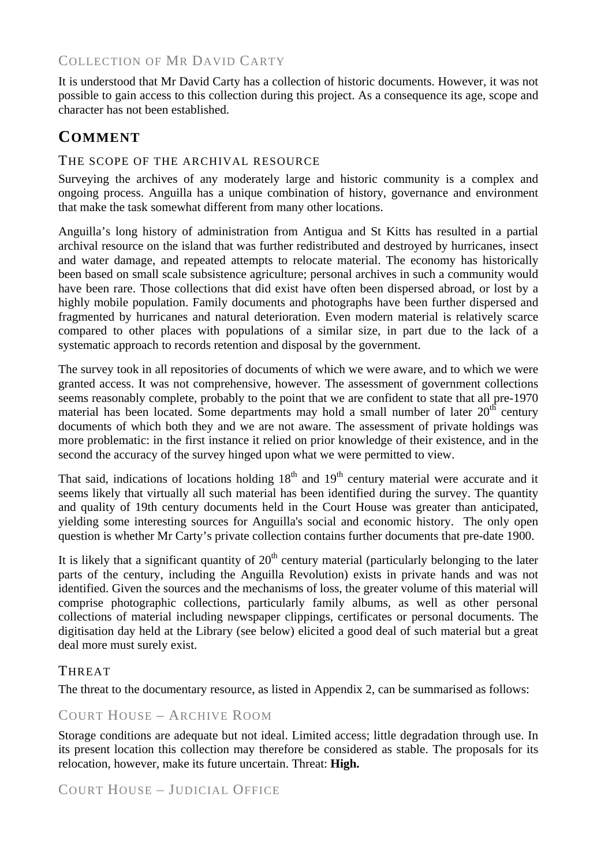### COLLECTION OF MR DAVID CARTY

It is understood that Mr David Carty has a collection of historic documents. However, it was not possible to gain access to this collection during this project. As a consequence its age, scope and character has not been established.

### **COMMENT**

#### THE SCOPE OF THE ARCHIVAL RESOURCE

Surveying the archives of any moderately large and historic community is a complex and ongoing process. Anguilla has a unique combination of history, governance and environment that make the task somewhat different from many other locations.

Anguilla's long history of administration from Antigua and St Kitts has resulted in a partial archival resource on the island that was further redistributed and destroyed by hurricanes, insect and water damage, and repeated attempts to relocate material. The economy has historically been based on small scale subsistence agriculture; personal archives in such a community would have been rare. Those collections that did exist have often been dispersed abroad, or lost by a highly mobile population. Family documents and photographs have been further dispersed and fragmented by hurricanes and natural deterioration. Even modern material is relatively scarce compared to other places with populations of a similar size, in part due to the lack of a systematic approach to records retention and disposal by the government.

The survey took in all repositories of documents of which we were aware, and to which we were granted access. It was not comprehensive, however. The assessment of government collections seems reasonably complete, probably to the point that we are confident to state that all pre-1970 material has been located. Some departments may hold a small number of later  $20<sup>th</sup>$  century documents of which both they and we are not aware. The assessment of private holdings was more problematic: in the first instance it relied on prior knowledge of their existence, and in the second the accuracy of the survey hinged upon what we were permitted to view.

That said, indications of locations holding  $18<sup>th</sup>$  and  $19<sup>th</sup>$  century material were accurate and it seems likely that virtually all such material has been identified during the survey. The quantity and quality of 19th century documents held in the Court House was greater than anticipated, yielding some interesting sources for Anguilla's social and economic history. The only open question is whether Mr Carty's private collection contains further documents that pre-date 1900.

It is likely that a significant quantity of  $20<sup>th</sup>$  century material (particularly belonging to the later parts of the century, including the Anguilla Revolution) exists in private hands and was not identified. Given the sources and the mechanisms of loss, the greater volume of this material will comprise photographic collections, particularly family albums, as well as other personal collections of material including newspaper clippings, certificates or personal documents. The digitisation day held at the Library (see below) elicited a good deal of such material but a great deal more must surely exist.

### **THREAT**

The threat to the documentary resource, as listed in Appendix 2, can be summarised as follows:

### COURT HOUSE – ARCHIVE ROOM

Storage conditions are adequate but not ideal. Limited access; little degradation through use. In its present location this collection may therefore be considered as stable. The proposals for its relocation, however, make its future uncertain. Threat: **High.**

COURT HOUSE – JUDICIAL OFFICE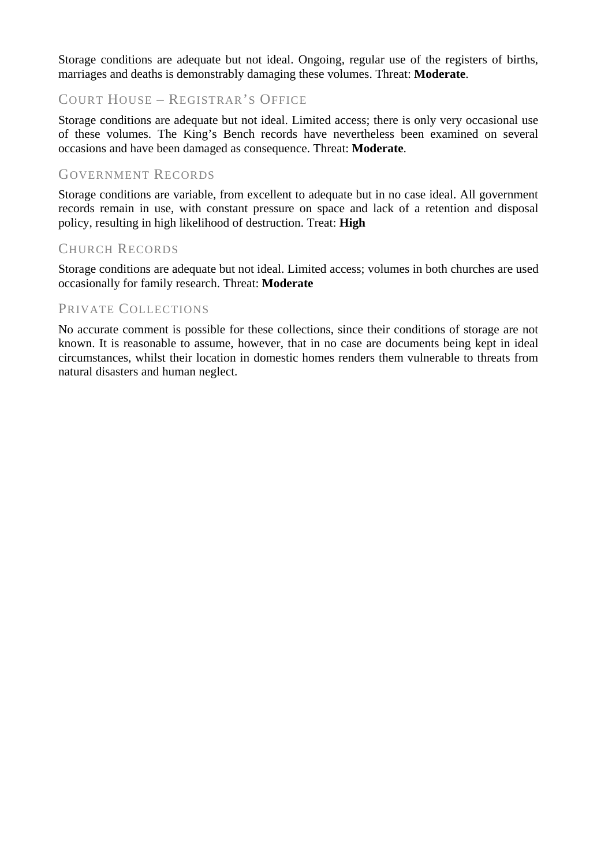Storage conditions are adequate but not ideal. Ongoing, regular use of the registers of births, marriages and deaths is demonstrably damaging these volumes. Threat: **Moderate**.

### COURT HOUSE – REGISTRAR'S OFFICE

Storage conditions are adequate but not ideal. Limited access; there is only very occasional use of these volumes. The King's Bench records have nevertheless been examined on several occasions and have been damaged as consequence. Threat: **Moderate**.

### GOVERNMENT RECORDS

Storage conditions are variable, from excellent to adequate but in no case ideal. All government records remain in use, with constant pressure on space and lack of a retention and disposal policy, resulting in high likelihood of destruction. Treat: **High**

#### CHURCH RECORDS

Storage conditions are adequate but not ideal. Limited access; volumes in both churches are used occasionally for family research. Threat: **Moderate**

#### PRIVATE COLLECTIONS

No accurate comment is possible for these collections, since their conditions of storage are not known. It is reasonable to assume, however, that in no case are documents being kept in ideal circumstances, whilst their location in domestic homes renders them vulnerable to threats from natural disasters and human neglect.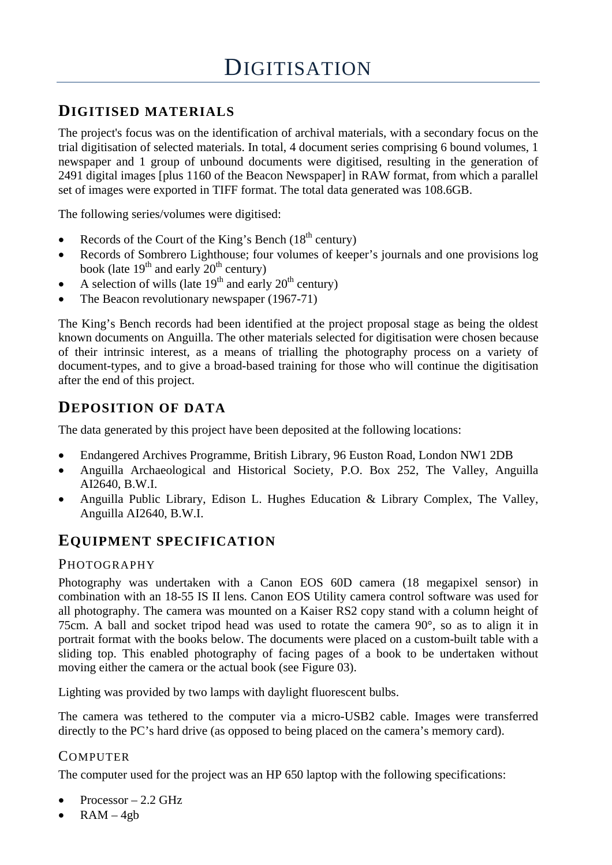### **DIGITISED MATERIALS**

The project's focus was on the identification of archival materials, with a secondary focus on the trial digitisation of selected materials. In total, 4 document series comprising 6 bound volumes, 1 newspaper and 1 group of unbound documents were digitised, resulting in the generation of 2491 digital images [plus 1160 of the Beacon Newspaper] in RAW format, from which a parallel set of images were exported in TIFF format. The total data generated was 108.6GB.

The following series/volumes were digitised:

- Records of the Court of the King's Bench  $(18<sup>th</sup>$  century)
- Records of Sombrero Lighthouse; four volumes of keeper's journals and one provisions log book (late  $19^{th}$  and early  $20^{th}$  century)
- A selection of wills (late  $19<sup>th</sup>$  and early  $20<sup>th</sup>$  century)
- The Beacon revolutionary newspaper (1967-71)

The King's Bench records had been identified at the project proposal stage as being the oldest known documents on Anguilla. The other materials selected for digitisation were chosen because of their intrinsic interest, as a means of trialling the photography process on a variety of document-types, and to give a broad-based training for those who will continue the digitisation after the end of this project.

### **DEPOSITION OF DATA**

The data generated by this project have been deposited at the following locations:

- Endangered Archives Programme, British Library, 96 Euston Road, London NW1 2DB
- Anguilla Archaeological and Historical Society, P.O. Box 252, The Valley, Anguilla AI2640, B.W.I.
- Anguilla Public Library, Edison L. Hughes Education & Library Complex, The Valley, Anguilla AI2640, B.W.I.

### **EQUIPMENT SPECIFICATION**

### PHOTOGRAPHY

Photography was undertaken with a Canon EOS 60D camera (18 megapixel sensor) in combination with an 18-55 IS II lens. Canon EOS Utility camera control software was used for all photography. The camera was mounted on a Kaiser RS2 copy stand with a column height of 75cm. A ball and socket tripod head was used to rotate the camera 90°, so as to align it in portrait format with the books below. The documents were placed on a custom-built table with a sliding top. This enabled photography of facing pages of a book to be undertaken without moving either the camera or the actual book (see Figure 03).

Lighting was provided by two lamps with daylight fluorescent bulbs.

The camera was tethered to the computer via a micro-USB2 cable. Images were transferred directly to the PC's hard drive (as opposed to being placed on the camera's memory card).

### **COMPUTER**

The computer used for the project was an HP 650 laptop with the following specifications:

- $Processor 2.2 \text{ GHz}$
- $RAM 4gb$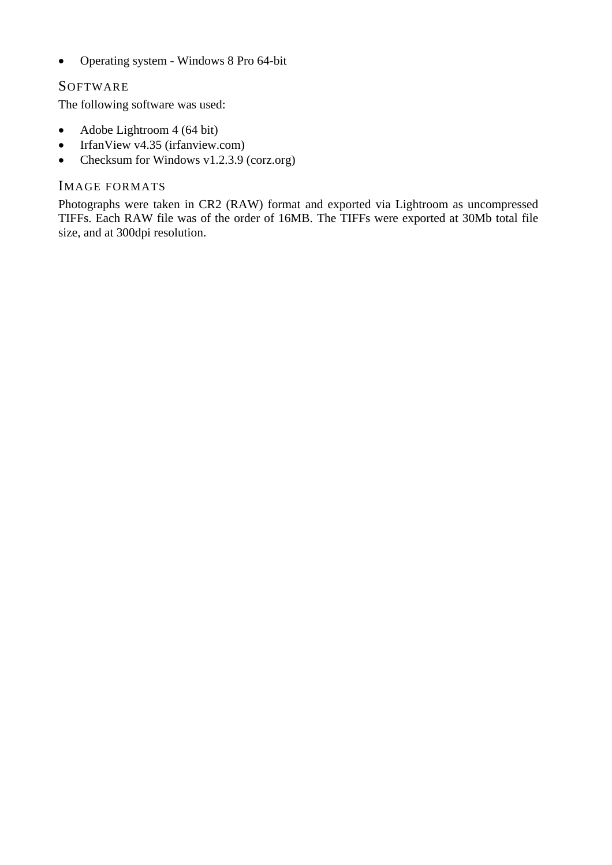• Operating system - Windows 8 Pro 64-bit

### **SOFTWARE**

The following software was used:

- Adobe Lightroom 4 (64 bit)
- IrfanView v4.35 (irfanview.com)
- Checksum for Windows v1.2.3.9 (corz.org)

### IMAGE FORMATS

Photographs were taken in CR2 (RAW) format and exported via Lightroom as uncompressed TIFFs. Each RAW file was of the order of 16MB. The TIFFs were exported at 30Mb total file size, and at 300dpi resolution.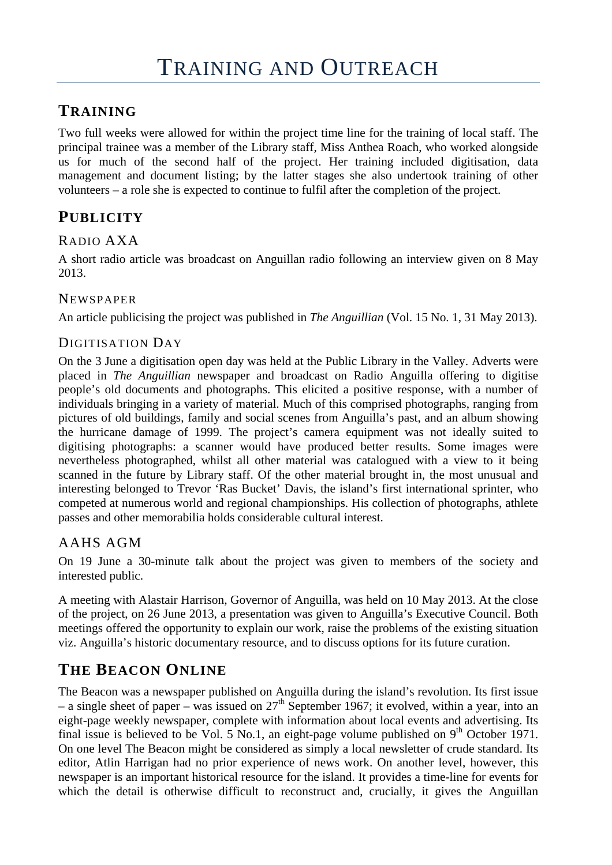### **TRAINING**

Two full weeks were allowed for within the project time line for the training of local staff. The principal trainee was a member of the Library staff, Miss Anthea Roach, who worked alongside us for much of the second half of the project. Her training included digitisation, data management and document listing; by the latter stages she also undertook training of other volunteers – a role she is expected to continue to fulfil after the completion of the project.

### **PUBLICITY**

### RADIO AXA

A short radio article was broadcast on Anguillan radio following an interview given on 8 May 2013.

### NEWSPAPER

An article publicising the project was published in *The Anguillian* (Vol. 15 No. 1, 31 May 2013).

### DIGITISATION DAY

On the 3 June a digitisation open day was held at the Public Library in the Valley. Adverts were placed in *The Anguillian* newspaper and broadcast on Radio Anguilla offering to digitise people's old documents and photographs. This elicited a positive response, with a number of individuals bringing in a variety of material. Much of this comprised photographs, ranging from pictures of old buildings, family and social scenes from Anguilla's past, and an album showing the hurricane damage of 1999. The project's camera equipment was not ideally suited to digitising photographs: a scanner would have produced better results. Some images were nevertheless photographed, whilst all other material was catalogued with a view to it being scanned in the future by Library staff. Of the other material brought in, the most unusual and interesting belonged to Trevor 'Ras Bucket' Davis, the island's first international sprinter, who competed at numerous world and regional championships. His collection of photographs, athlete passes and other memorabilia holds considerable cultural interest.

### AAHS AGM

On 19 June a 30-minute talk about the project was given to members of the society and interested public.

A meeting with Alastair Harrison, Governor of Anguilla, was held on 10 May 2013. At the close of the project, on 26 June 2013, a presentation was given to Anguilla's Executive Council. Both meetings offered the opportunity to explain our work, raise the problems of the existing situation viz. Anguilla's historic documentary resource, and to discuss options for its future curation.

### **THE BEACON ONLINE**

The Beacon was a newspaper published on Anguilla during the island's revolution. Its first issue – a single sheet of paper – was issued on  $27<sup>th</sup>$  September 1967; it evolved, within a year, into an eight-page weekly newspaper, complete with information about local events and advertising. Its final issue is believed to be Vol. 5 No.1, an eight-page volume published on  $9<sup>th</sup>$  October 1971. On one level The Beacon might be considered as simply a local newsletter of crude standard. Its editor, Atlin Harrigan had no prior experience of news work. On another level, however, this newspaper is an important historical resource for the island. It provides a time-line for events for which the detail is otherwise difficult to reconstruct and, crucially, it gives the Anguillan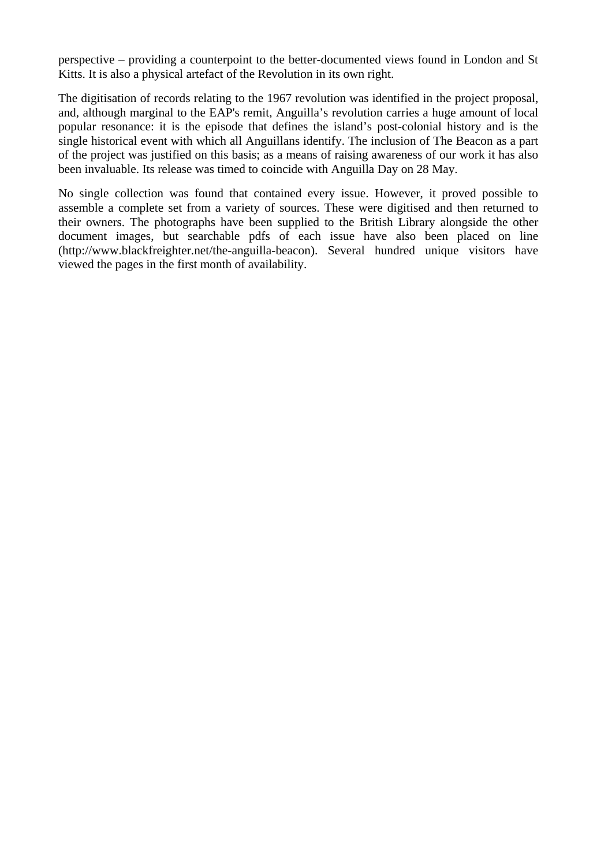perspective – providing a counterpoint to the better-documented views found in London and St Kitts. It is also a physical artefact of the Revolution in its own right.

The digitisation of records relating to the 1967 revolution was identified in the project proposal, and, although marginal to the EAP's remit, Anguilla's revolution carries a huge amount of local popular resonance: it is the episode that defines the island's post-colonial history and is the single historical event with which all Anguillans identify. The inclusion of The Beacon as a part of the project was justified on this basis; as a means of raising awareness of our work it has also been invaluable. Its release was timed to coincide with Anguilla Day on 28 May.

No single collection was found that contained every issue. However, it proved possible to assemble a complete set from a variety of sources. These were digitised and then returned to their owners. The photographs have been supplied to the British Library alongside the other document images, but searchable pdfs of each issue have also been placed on line (http://www.blackfreighter.net/the-anguilla-beacon). Several hundred unique visitors have viewed the pages in the first month of availability.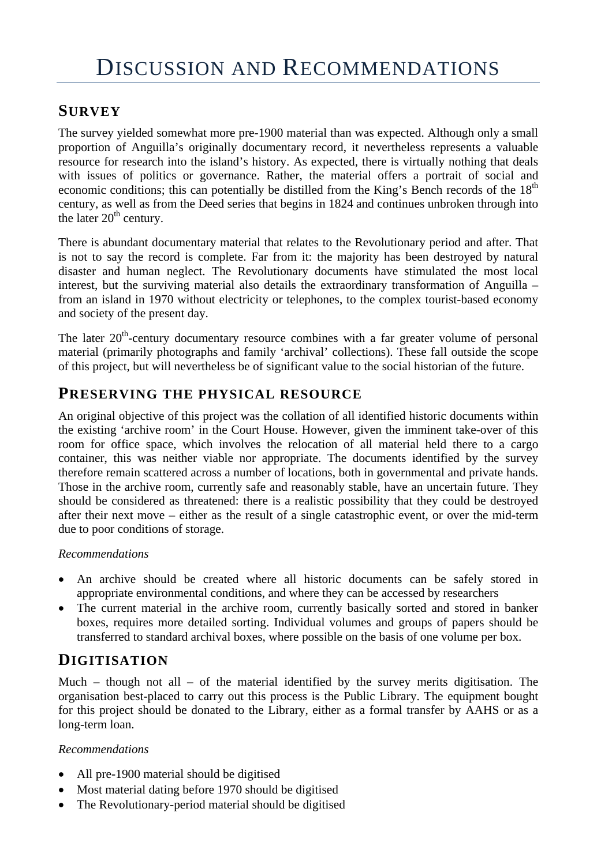### **SURVEY**

The survey yielded somewhat more pre-1900 material than was expected. Although only a small proportion of Anguilla's originally documentary record, it nevertheless represents a valuable resource for research into the island's history. As expected, there is virtually nothing that deals with issues of politics or governance. Rather, the material offers a portrait of social and economic conditions; this can potentially be distilled from the King's Bench records of the 18<sup>th</sup> century, as well as from the Deed series that begins in 1824 and continues unbroken through into the later  $20<sup>th</sup>$  century.

There is abundant documentary material that relates to the Revolutionary period and after. That is not to say the record is complete. Far from it: the majority has been destroyed by natural disaster and human neglect. The Revolutionary documents have stimulated the most local interest, but the surviving material also details the extraordinary transformation of Anguilla – from an island in 1970 without electricity or telephones, to the complex tourist-based economy and society of the present day.

The later  $20<sup>th</sup>$ -century documentary resource combines with a far greater volume of personal material (primarily photographs and family 'archival' collections). These fall outside the scope of this project, but will nevertheless be of significant value to the social historian of the future.

### **PRESERVING THE PHYSICAL RESOURCE**

An original objective of this project was the collation of all identified historic documents within the existing 'archive room' in the Court House. However, given the imminent take-over of this room for office space, which involves the relocation of all material held there to a cargo container, this was neither viable nor appropriate. The documents identified by the survey therefore remain scattered across a number of locations, both in governmental and private hands. Those in the archive room, currently safe and reasonably stable, have an uncertain future. They should be considered as threatened: there is a realistic possibility that they could be destroyed after their next move – either as the result of a single catastrophic event, or over the mid-term due to poor conditions of storage.

#### *Recommendations*

- An archive should be created where all historic documents can be safely stored in appropriate environmental conditions, and where they can be accessed by researchers
- The current material in the archive room, currently basically sorted and stored in banker boxes, requires more detailed sorting. Individual volumes and groups of papers should be transferred to standard archival boxes, where possible on the basis of one volume per box.

### **DIGITISATION**

Much – though not all – of the material identified by the survey merits digitisation. The organisation best-placed to carry out this process is the Public Library. The equipment bought for this project should be donated to the Library, either as a formal transfer by AAHS or as a long-term loan.

### *Recommendations*

- All pre-1900 material should be digitised
- Most material dating before 1970 should be digitised
- The Revolutionary-period material should be digitised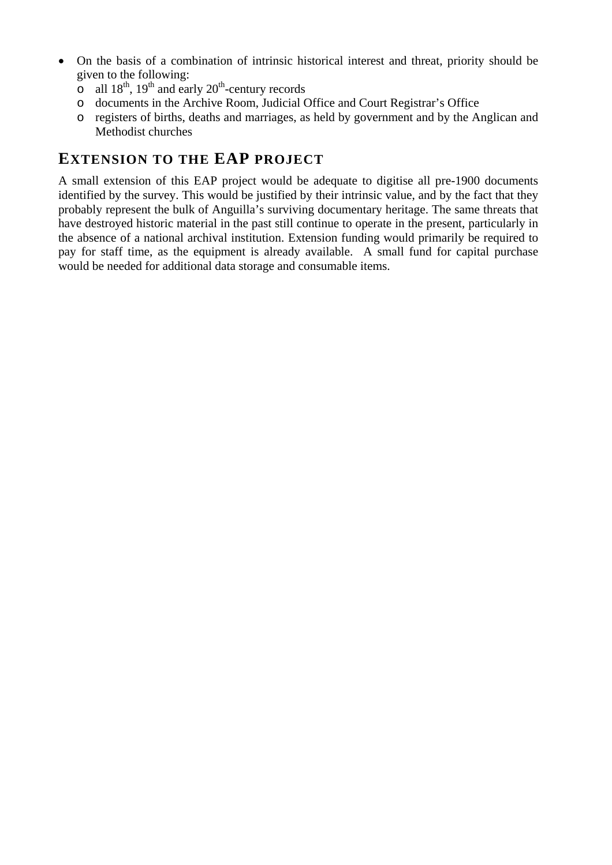- On the basis of a combination of intrinsic historical interest and threat, priority should be given to the following:
	- $\frac{6}{\text{O}}$  all 18<sup>th</sup>, 19<sup>th</sup> and early 20<sup>th</sup>-century records
	- o documents in the Archive Room, Judicial Office and Court Registrar's Office
	- o registers of births, deaths and marriages, as held by government and by the Anglican and Methodist churches

### **EXTENSION TO THE EAP PROJECT**

A small extension of this EAP project would be adequate to digitise all pre-1900 documents identified by the survey. This would be justified by their intrinsic value, and by the fact that they probably represent the bulk of Anguilla's surviving documentary heritage. The same threats that have destroyed historic material in the past still continue to operate in the present, particularly in the absence of a national archival institution. Extension funding would primarily be required to pay for staff time, as the equipment is already available. A small fund for capital purchase would be needed for additional data storage and consumable items.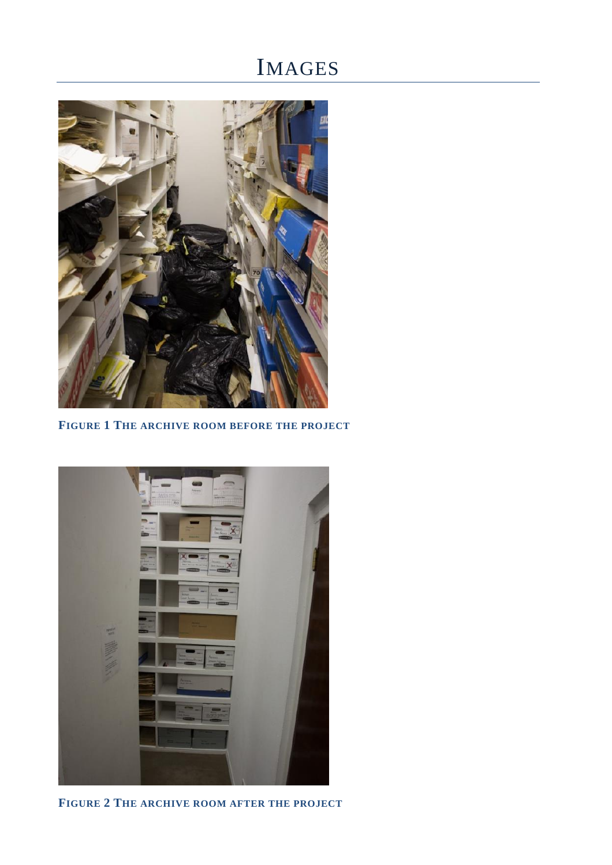## IMAGES



**FIGURE 1 THE ARCHIVE ROOM BEFORE THE PROJECT**



**FIGURE 2 THE ARCHIVE ROOM AFTER THE PROJECT**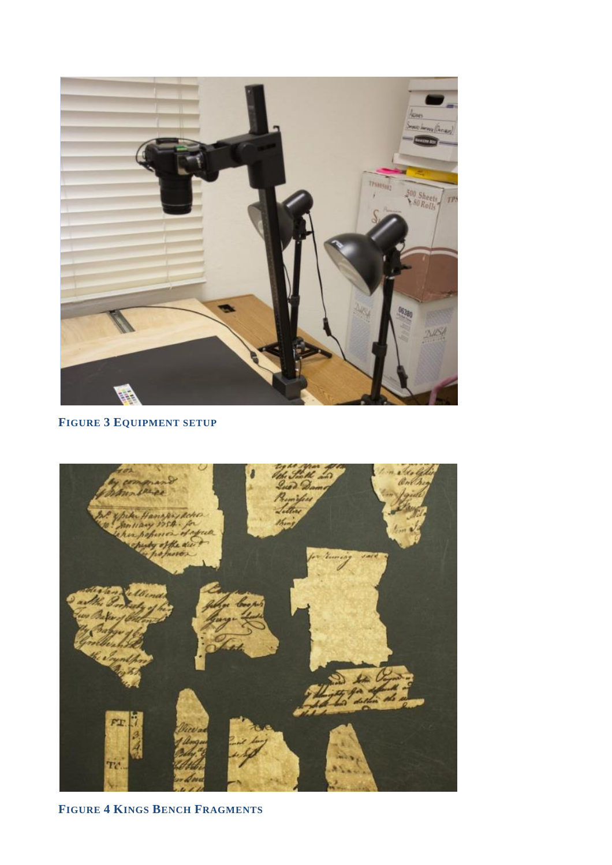

### **FIGURE 3 EQUIPMENT SETUP**



**FIGURE 4 KINGS BENCH FRAGMENTS**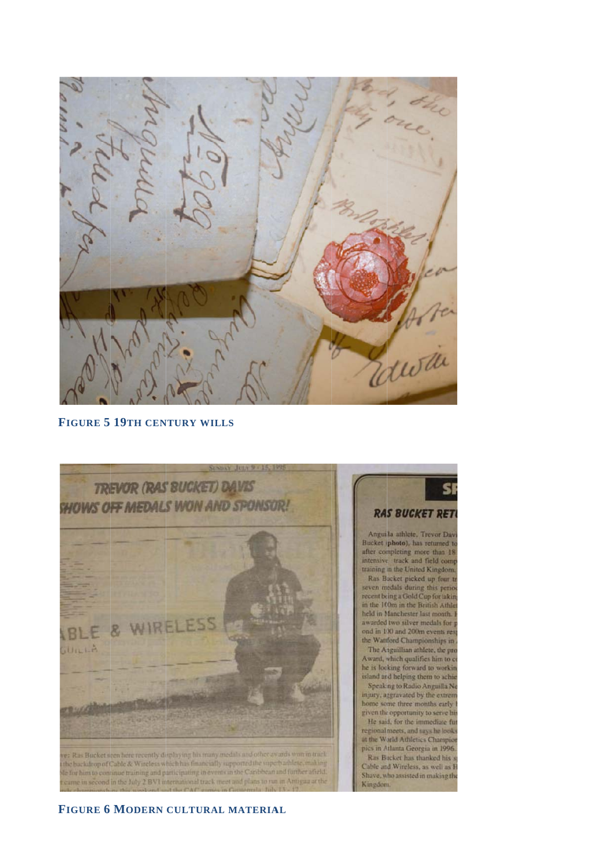

#### **FIGURE 5 19TH CENTURY WILLS**



#### **RAS BUCKET RETI**

SI

Bucket (photo), has returned to after completing more than 18 intensive track and field comp<br>training in the United Kingdom. Ras Bucket picked up four to seven medals during this period recent being a Gold Cup for takin in the 100m in the British Athle held in Manchester last month. awarded two silver medals for p ond in 100 and 200m events res the Wattford Championships in The Anguillian athlete, the pro-Award, which qualifies him to co he is looking forward to workin island and helping them to achie Speaking to Radio Anguilla Ne injury, aggravated by the extrem home some three months early if given the opportunity to serve his He said, for the immediate furregional meets, and says he looks

Ras Bucket has thanked his s Cable and Wireless, as well as H Shave, who assisted in making the

#### **FIGURE 6 MODERN CULTURAL MATERIAL**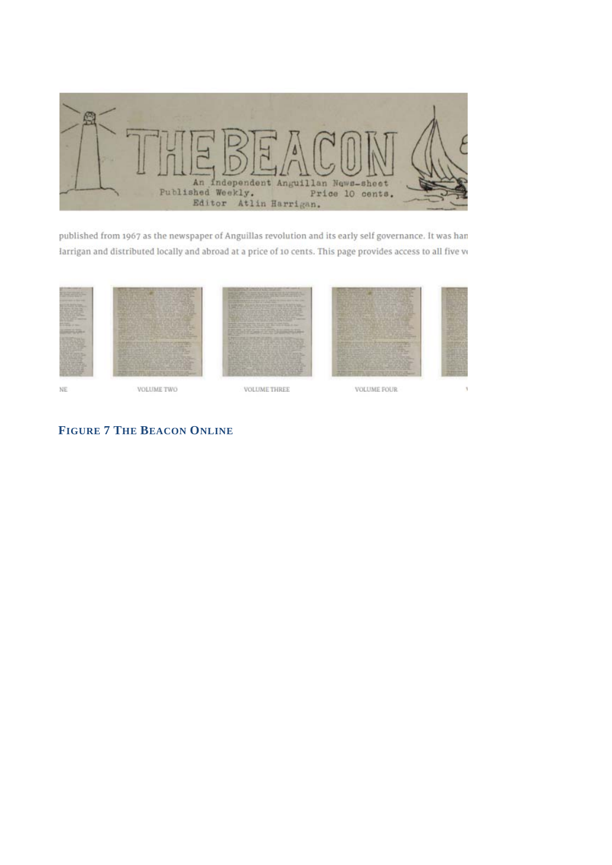

published from 1967 as the newspaper of Anguillas revolution and its early self governance. It was han larrigan and distributed locally and abroad at a price of 10 cents. This page provides access to all five vo



ŃE

VOLUME THREE

VOLUME FOUR

### **FIGURE 7 THE BEACON ONLINE**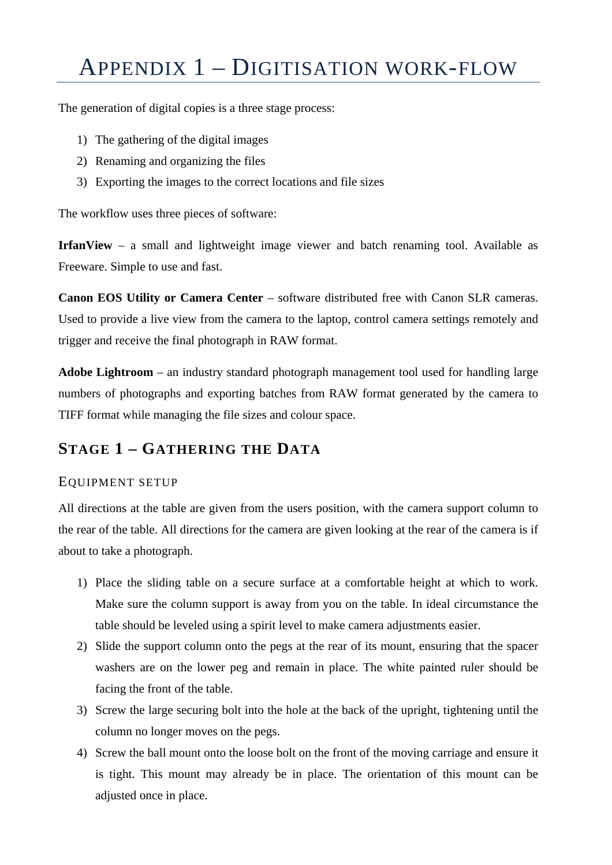## APPENDIX 1 – DIGITISATION WORK-FLOW

The generation of digital copies is a three stage process:

- 1) The gathering of the digital images
- 2) Renaming and organizing the files
- 3) Exporting the images to the correct locations and file sizes

The workflow uses three pieces of software:

**IrfanView** – a small and lightweight image viewer and batch renaming tool. Available as Freeware. Simple to use and fast.

**Canon EOS Utility or Camera Center** – software distributed free with Canon SLR cameras. Used to provide a live view from the camera to the laptop, control camera settings remotely and trigger and receive the final photograph in RAW format.

**Adobe Lightroom** – an industry standard photograph management tool used for handling large numbers of photographs and exporting batches from RAW format generated by the camera to TIFF format while managing the file sizes and colour space.

### **STAGE 1 – GATHERING THE DATA**

#### EQUIPMENT SETUP

All directions at the table are given from the users position, with the camera support column to the rear of the table. All directions for the camera are given looking at the rear of the camera is if about to take a photograph.

- 1) Place the sliding table on a secure surface at a comfortable height at which to work. Make sure the column support is away from you on the table. In ideal circumstance the table should be leveled using a spirit level to make camera adjustments easier.
- 2) Slide the support column onto the pegs at the rear of its mount, ensuring that the spacer washers are on the lower peg and remain in place. The white painted ruler should be facing the front of the table.
- 3) Screw the large securing bolt into the hole at the back of the upright, tightening until the column no longer moves on the pegs.
- 4) Screw the ball mount onto the loose bolt on the front of the moving carriage and ensure it is tight. This mount may already be in place. The orientation of this mount can be adjusted once in place.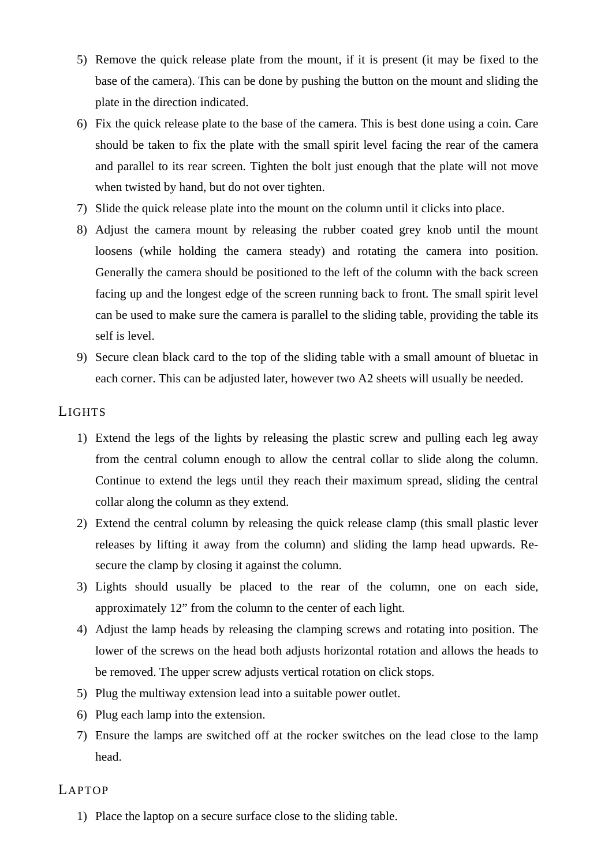- 5) Remove the quick release plate from the mount, if it is present (it may be fixed to the base of the camera). This can be done by pushing the button on the mount and sliding the plate in the direction indicated.
- 6) Fix the quick release plate to the base of the camera. This is best done using a coin. Care should be taken to fix the plate with the small spirit level facing the rear of the camera and parallel to its rear screen. Tighten the bolt just enough that the plate will not move when twisted by hand, but do not over tighten.
- 7) Slide the quick release plate into the mount on the column until it clicks into place.
- 8) Adjust the camera mount by releasing the rubber coated grey knob until the mount loosens (while holding the camera steady) and rotating the camera into position. Generally the camera should be positioned to the left of the column with the back screen facing up and the longest edge of the screen running back to front. The small spirit level can be used to make sure the camera is parallel to the sliding table, providing the table its self is level.
- 9) Secure clean black card to the top of the sliding table with a small amount of bluetac in each corner. This can be adjusted later, however two A2 sheets will usually be needed.

### LIGHTS

- 1) Extend the legs of the lights by releasing the plastic screw and pulling each leg away from the central column enough to allow the central collar to slide along the column. Continue to extend the legs until they reach their maximum spread, sliding the central collar along the column as they extend.
- 2) Extend the central column by releasing the quick release clamp (this small plastic lever releases by lifting it away from the column) and sliding the lamp head upwards. Resecure the clamp by closing it against the column.
- 3) Lights should usually be placed to the rear of the column, one on each side, approximately 12" from the column to the center of each light.
- 4) Adjust the lamp heads by releasing the clamping screws and rotating into position. The lower of the screws on the head both adjusts horizontal rotation and allows the heads to be removed. The upper screw adjusts vertical rotation on click stops.
- 5) Plug the multiway extension lead into a suitable power outlet.
- 6) Plug each lamp into the extension.
- 7) Ensure the lamps are switched off at the rocker switches on the lead close to the lamp head.

#### LAPTOP

1) Place the laptop on a secure surface close to the sliding table.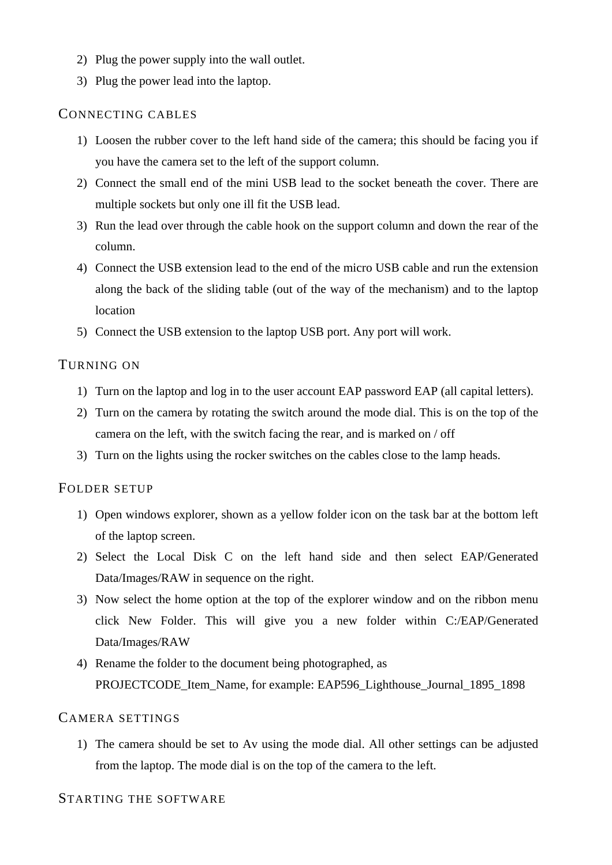- 2) Plug the power supply into the wall outlet.
- 3) Plug the power lead into the laptop.

#### CONNECTING CABLES

- 1) Loosen the rubber cover to the left hand side of the camera; this should be facing you if you have the camera set to the left of the support column.
- 2) Connect the small end of the mini USB lead to the socket beneath the cover. There are multiple sockets but only one ill fit the USB lead.
- 3) Run the lead over through the cable hook on the support column and down the rear of the column.
- 4) Connect the USB extension lead to the end of the micro USB cable and run the extension along the back of the sliding table (out of the way of the mechanism) and to the laptop location
- 5) Connect the USB extension to the laptop USB port. Any port will work.

#### TURNING ON

- 1) Turn on the laptop and log in to the user account EAP password EAP (all capital letters).
- 2) Turn on the camera by rotating the switch around the mode dial. This is on the top of the camera on the left, with the switch facing the rear, and is marked on / off
- 3) Turn on the lights using the rocker switches on the cables close to the lamp heads.

#### FOLDER SETUP

- 1) Open windows explorer, shown as a yellow folder icon on the task bar at the bottom left of the laptop screen.
- 2) Select the Local Disk C on the left hand side and then select EAP/Generated Data/Images/RAW in sequence on the right.
- 3) Now select the home option at the top of the explorer window and on the ribbon menu click New Folder. This will give you a new folder within C:/EAP/Generated Data/Images/RAW
- 4) Rename the folder to the document being photographed, as PROJECTCODE Item\_Name, for example: EAP596\_Lighthouse\_Journal\_1895\_1898

### CAMERA SETTINGS

1) The camera should be set to Av using the mode dial. All other settings can be adjusted from the laptop. The mode dial is on the top of the camera to the left.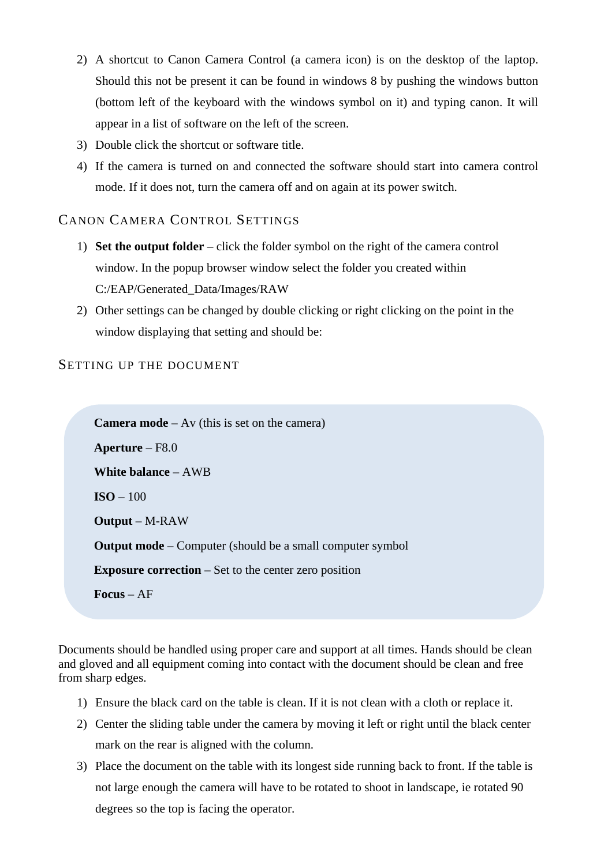- 2) A shortcut to Canon Camera Control (a camera icon) is on the desktop of the laptop. Should this not be present it can be found in windows 8 by pushing the windows button (bottom left of the keyboard with the windows symbol on it) and typing canon. It will appear in a list of software on the left of the screen.
- 3) Double click the shortcut or software title.
- 4) If the camera is turned on and connected the software should start into camera control mode. If it does not, turn the camera off and on again at its power switch.

### CANON CAMERA CONTROL SETTINGS

- 1) **Set the output folder** click the folder symbol on the right of the camera control window. In the popup browser window select the folder you created within C:/EAP/Generated\_Data/Images/RAW
- 2) Other settings can be changed by double clicking or right clicking on the point in the window displaying that setting and should be:

### SETTING UP THE DOCUMENT

```
Camera mode – Av (this is set on the camera) 
Aperture – F8.0 
White balance – AWB 
ISO -100Output – M-RAW 
Output mode – Computer (should be a small computer symbol
Exposure correction – Set to the center zero position 
Focus – AF
```
Documents should be handled using proper care and support at all times. Hands should be clean and gloved and all equipment coming into contact with the document should be clean and free from sharp edges.

- 1) Ensure the black card on the table is clean. If it is not clean with a cloth or replace it.
- 2) Center the sliding table under the camera by moving it left or right until the black center mark on the rear is aligned with the column.
- 3) Place the document on the table with its longest side running back to front. If the table is not large enough the camera will have to be rotated to shoot in landscape, ie rotated 90 degrees so the top is facing the operator.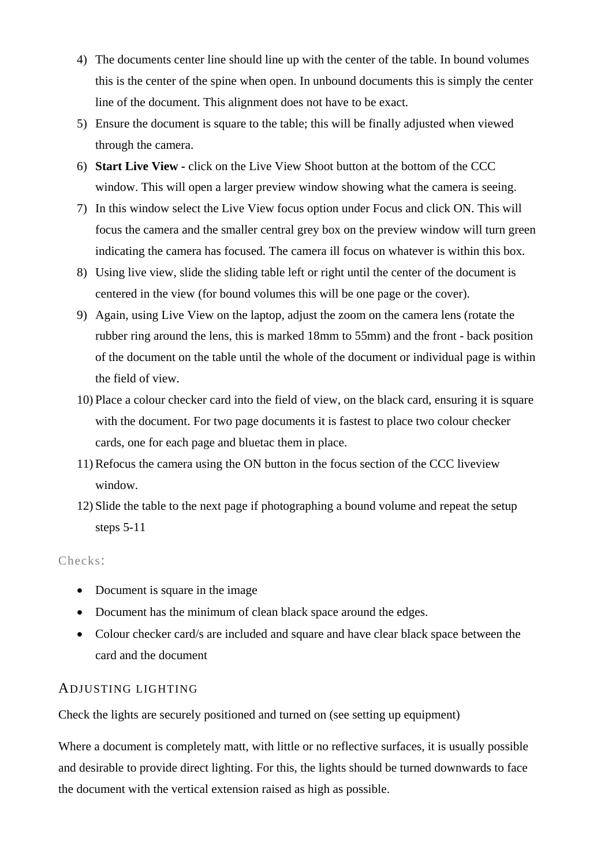- 4) The documents center line should line up with the center of the table. In bound volumes this is the center of the spine when open. In unbound documents this is simply the center line of the document. This alignment does not have to be exact.
- 5) Ensure the document is square to the table; this will be finally adjusted when viewed through the camera.
- 6) **Start Live View -** click on the Live View Shoot button at the bottom of the CCC window. This will open a larger preview window showing what the camera is seeing.
- 7) In this window select the Live View focus option under Focus and click ON. This will focus the camera and the smaller central grey box on the preview window will turn green indicating the camera has focused. The camera ill focus on whatever is within this box.
- 8) Using live view, slide the sliding table left or right until the center of the document is centered in the view (for bound volumes this will be one page or the cover).
- 9) Again, using Live View on the laptop, adjust the zoom on the camera lens (rotate the rubber ring around the lens, this is marked 18mm to 55mm) and the front - back position of the document on the table until the whole of the document or individual page is within the field of view.
- 10) Place a colour checker card into the field of view, on the black card, ensuring it is square with the document. For two page documents it is fastest to place two colour checker cards, one for each page and bluetac them in place.
- 11) Refocus the camera using the ON button in the focus section of the CCC liveview window.
- 12) Slide the table to the next page if photographing a bound volume and repeat the setup steps 5-11

#### Checks:

- Document is square in the image
- Document has the minimum of clean black space around the edges.
- Colour checker card/s are included and square and have clear black space between the card and the document

#### ADJUSTING LIGHTING

Check the lights are securely positioned and turned on (see setting up equipment)

Where a document is completely matt, with little or no reflective surfaces, it is usually possible and desirable to provide direct lighting. For this, the lights should be turned downwards to face the document with the vertical extension raised as high as possible.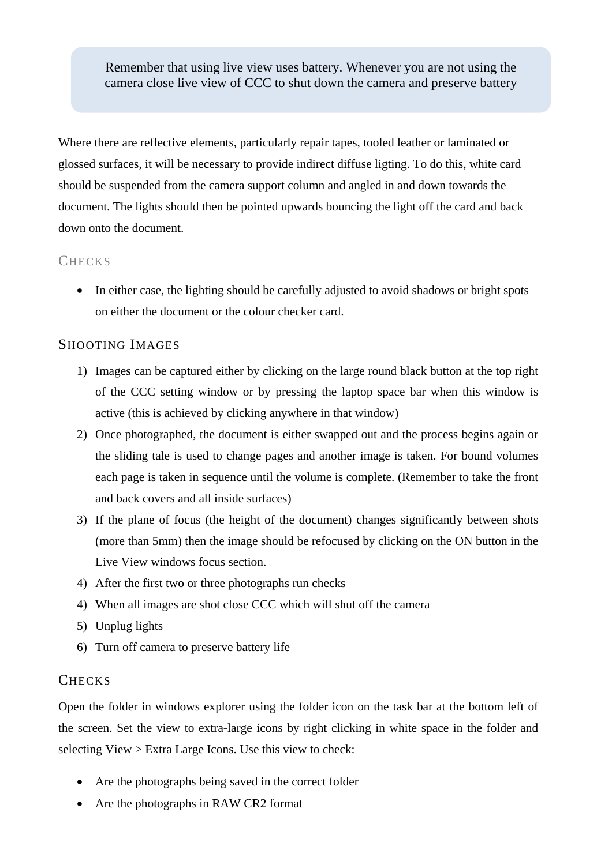Remember that using live view uses battery. Whenever you are not using the camera close live view of CCC to shut down the camera and preserve battery

Where there are reflective elements, particularly repair tapes, tooled leather or laminated or glossed surfaces, it will be necessary to provide indirect diffuse ligting. To do this, white card should be suspended from the camera support column and angled in and down towards the document. The lights should then be pointed upwards bouncing the light off the card and back down onto the document.

#### **CHECKS**

• In either case, the lighting should be carefully adjusted to avoid shadows or bright spots on either the document or the colour checker card.

### SHOOTING IMAGES

- 1) Images can be captured either by clicking on the large round black button at the top right of the CCC setting window or by pressing the laptop space bar when this window is active (this is achieved by clicking anywhere in that window)
- 2) Once photographed, the document is either swapped out and the process begins again or the sliding tale is used to change pages and another image is taken. For bound volumes each page is taken in sequence until the volume is complete. (Remember to take the front and back covers and all inside surfaces)
- 3) If the plane of focus (the height of the document) changes significantly between shots (more than 5mm) then the image should be refocused by clicking on the ON button in the Live View windows focus section.
- 4) After the first two or three photographs run checks
- 4) When all images are shot close CCC which will shut off the camera
- 5) Unplug lights
- 6) Turn off camera to preserve battery life

### **CHECKS**

Open the folder in windows explorer using the folder icon on the task bar at the bottom left of the screen. Set the view to extra-large icons by right clicking in white space in the folder and selecting View > Extra Large Icons. Use this view to check:

- Are the photographs being saved in the correct folder
- Are the photographs in RAW CR2 format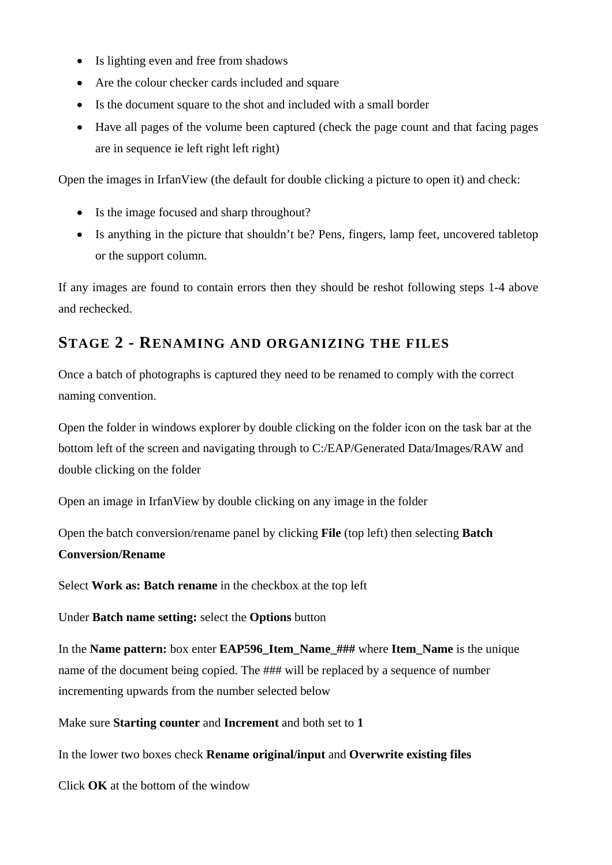- Is lighting even and free from shadows
- Are the colour checker cards included and square
- Is the document square to the shot and included with a small border
- Have all pages of the volume been captured (check the page count and that facing pages are in sequence ie left right left right)

Open the images in IrfanView (the default for double clicking a picture to open it) and check:

- Is the image focused and sharp throughout?
- Is anything in the picture that shouldn't be? Pens, fingers, lamp feet, uncovered tabletop or the support column.

If any images are found to contain errors then they should be reshot following steps 1-4 above and rechecked.

### **STAGE 2 - RENAMING AND ORGANIZING THE FILES**

Once a batch of photographs is captured they need to be renamed to comply with the correct naming convention.

Open the folder in windows explorer by double clicking on the folder icon on the task bar at the bottom left of the screen and navigating through to C:/EAP/Generated Data/Images/RAW and double clicking on the folder

Open an image in IrfanView by double clicking on any image in the folder

Open the batch conversion/rename panel by clicking **File** (top left) then selecting **Batch Conversion/Rename**

Select **Work as: Batch rename** in the checkbox at the top left

Under **Batch name setting:** select the **Options** button

In the **Name pattern:** box enter **EAP596\_Item\_Name\_###** where **Item\_Name** is the unique name of the document being copied. The ### will be replaced by a sequence of number incrementing upwards from the number selected below

Make sure **Starting counter** and **Increment** and both set to **1** 

In the lower two boxes check **Rename original/input** and **Overwrite existing files** 

Click **OK** at the bottom of the window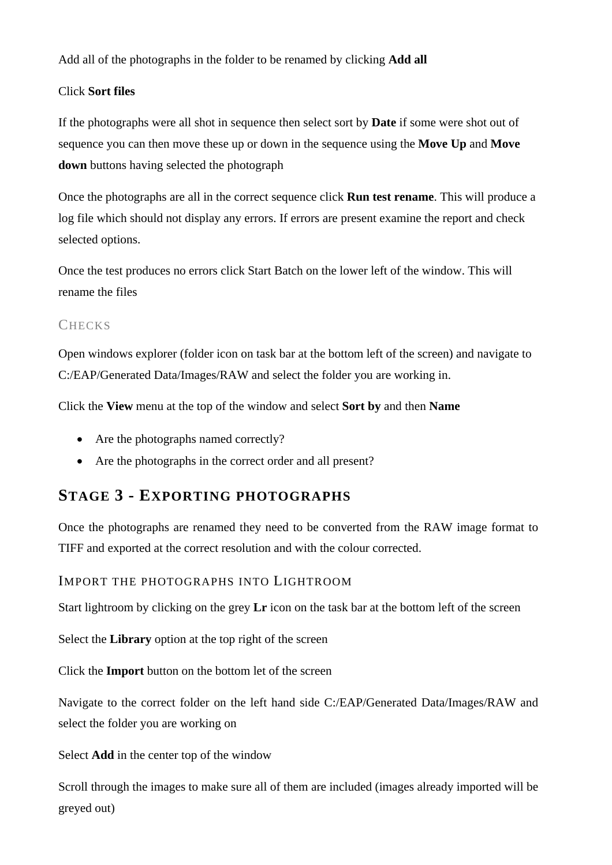Add all of the photographs in the folder to be renamed by clicking **Add all**

### Click **Sort files**

If the photographs were all shot in sequence then select sort by **Date** if some were shot out of sequence you can then move these up or down in the sequence using the **Move Up** and **Move down** buttons having selected the photograph

Once the photographs are all in the correct sequence click **Run test rename**. This will produce a log file which should not display any errors. If errors are present examine the report and check selected options.

Once the test produces no errors click Start Batch on the lower left of the window. This will rename the files

### **CHECKS**

Open windows explorer (folder icon on task bar at the bottom left of the screen) and navigate to C:/EAP/Generated Data/Images/RAW and select the folder you are working in.

Click the **View** menu at the top of the window and select **Sort by** and then **Name**

- Are the photographs named correctly?
- Are the photographs in the correct order and all present?

### **STAGE 3 - EXPORTING PHOTOGRAPHS**

Once the photographs are renamed they need to be converted from the RAW image format to TIFF and exported at the correct resolution and with the colour corrected.

IMPORT THE PHOTOGRAPHS INTO LIGHTROOM

Start lightroom by clicking on the grey **Lr** icon on the task bar at the bottom left of the screen

Select the **Library** option at the top right of the screen

Click the **Import** button on the bottom let of the screen

Navigate to the correct folder on the left hand side C:/EAP/Generated Data/Images/RAW and select the folder you are working on

Select **Add** in the center top of the window

Scroll through the images to make sure all of them are included (images already imported will be greyed out)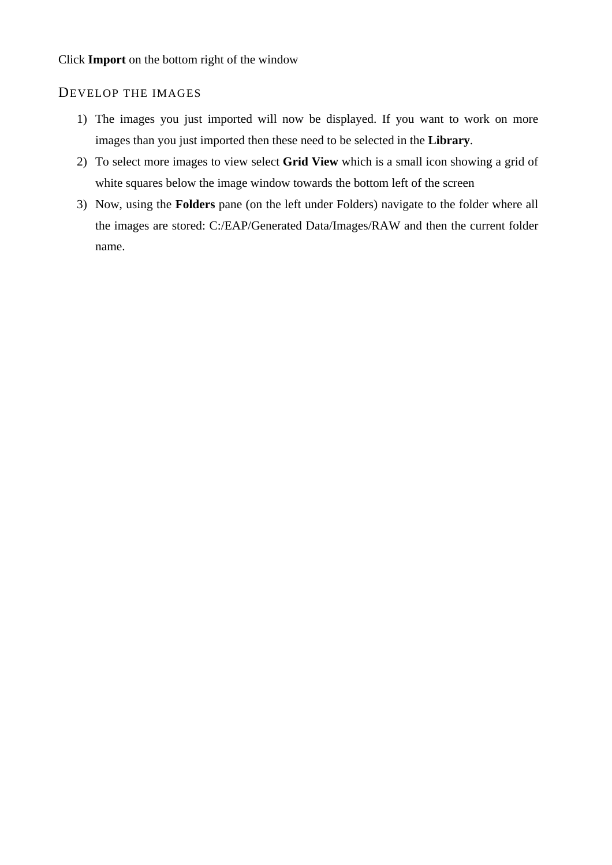### DEVELOP THE IMAGES

- 1) The images you just imported will now be displayed. If you want to work on more images than you just imported then these need to be selected in the **Library**.
- 2) To select more images to view select **Grid View** which is a small icon showing a grid of white squares below the image window towards the bottom left of the screen
- 3) Now, using the **Folders** pane (on the left under Folders) navigate to the folder where all the images are stored: C:/EAP/Generated Data/Images/RAW and then the current folder name.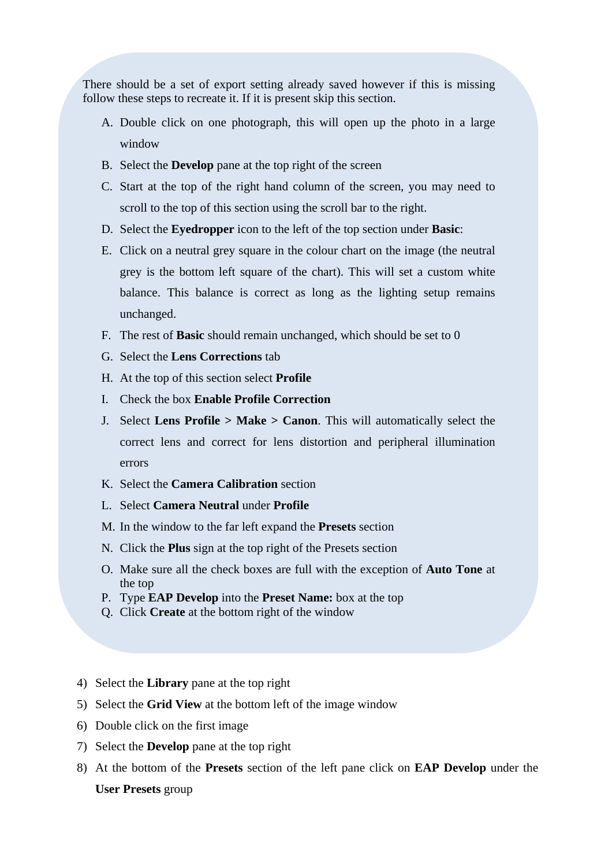There should be a set of export setting already saved however if this is missing follow these steps to recreate it. If it is present skip this section.

- A. Double click on one photograph, this will open up the photo in a large window
- B. Select the **Develop** pane at the top right of the screen
- C. Start at the top of the right hand column of the screen, you may need to scroll to the top of this section using the scroll bar to the right.
- D. Select the **Eyedropper** icon to the left of the top section under **Basic**:
- E. Click on a neutral grey square in the colour chart on the image (the neutral grey is the bottom left square of the chart). This will set a custom white balance. This balance is correct as long as the lighting setup remains unchanged.
- F. The rest of **Basic** should remain unchanged, which should be set to 0
- G. Select the **Lens Corrections** tab
- H. At the top of this section select **Profile**
- I. Check the box **Enable Profile Correction**
- J. Select **Lens Profile > Make > Canon**. This will automatically select the correct lens and correct for lens distortion and peripheral illumination errors
- K. Select the **Camera Calibration** section
- L. Select **Camera Neutral** under **Profile**
- M. In the window to the far left expand the **Presets** section
- N. Click the **Plus** sign at the top right of the Presets section
- O. Make sure all the check boxes are full with the exception of **Auto Tone** at the top
- P. Type **EAP Develop** into the **Preset Name:** box at the top
- Q. Click **Create** at the bottom right of the window
- 4) Select the **Library** pane at the top right
- 5) Select the **Grid View** at the bottom left of the image window
- 6) Double click on the first image
- 7) Select the **Develop** pane at the top right
- 8) At the bottom of the **Presets** section of the left pane click on **EAP Develop** under the **User Presets** group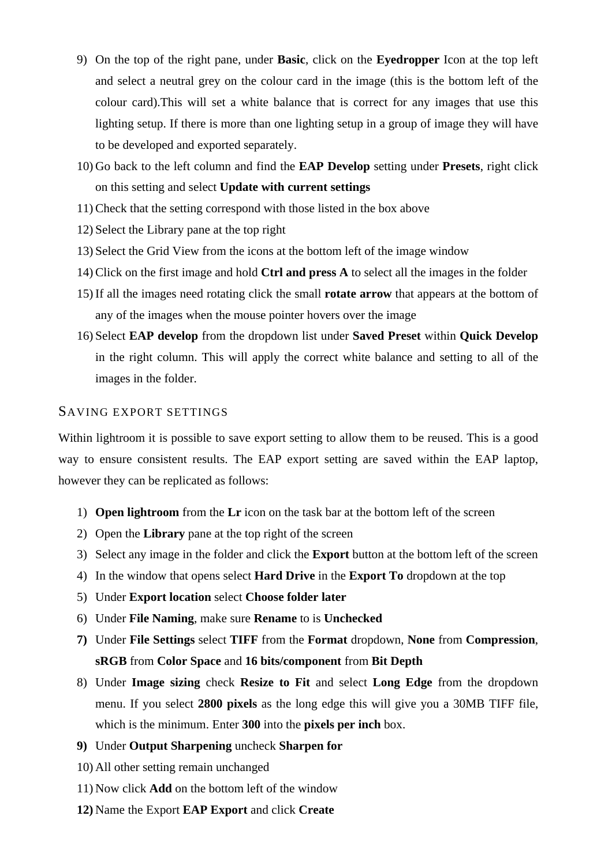- 9) On the top of the right pane, under **Basic**, click on the **Eyedropper** Icon at the top left and select a neutral grey on the colour card in the image (this is the bottom left of the colour card).This will set a white balance that is correct for any images that use this lighting setup. If there is more than one lighting setup in a group of image they will have to be developed and exported separately.
- 10) Go back to the left column and find the **EAP Develop** setting under **Presets**, right click on this setting and select **Update with current settings**
- 11) Check that the setting correspond with those listed in the box above
- 12) Select the Library pane at the top right
- 13) Select the Grid View from the icons at the bottom left of the image window
- 14) Click on the first image and hold **Ctrl and press A** to select all the images in the folder
- 15) If all the images need rotating click the small **rotate arrow** that appears at the bottom of any of the images when the mouse pointer hovers over the image
- 16) Select **EAP develop** from the dropdown list under **Saved Preset** within **Quick Develop** in the right column. This will apply the correct white balance and setting to all of the images in the folder.

#### SAVING EXPORT SETTINGS

Within lightroom it is possible to save export setting to allow them to be reused. This is a good way to ensure consistent results. The EAP export setting are saved within the EAP laptop, however they can be replicated as follows:

- 1) **Open lightroom** from the **Lr** icon on the task bar at the bottom left of the screen
- 2) Open the **Library** pane at the top right of the screen
- 3) Select any image in the folder and click the **Export** button at the bottom left of the screen
- 4) In the window that opens select **Hard Drive** in the **Export To** dropdown at the top
- 5) Under **Export location** select **Choose folder later**
- 6) Under **File Naming**, make sure **Rename** to is **Unchecked**
- **7)** Under **File Settings** select **TIFF** from the **Format** dropdown, **None** from **Compression**, **sRGB** from **Color Space** and **16 bits/component** from **Bit Depth**
- 8) Under **Image sizing** check **Resize to Fit** and select **Long Edge** from the dropdown menu. If you select **2800 pixels** as the long edge this will give you a 30MB TIFF file, which is the minimum. Enter **300** into the **pixels per inch** box.
- **9)** Under **Output Sharpening** uncheck **Sharpen for**
- 10) All other setting remain unchanged
- 11) Now click **Add** on the bottom left of the window
- **12)** Name the Export **EAP Export** and click **Create**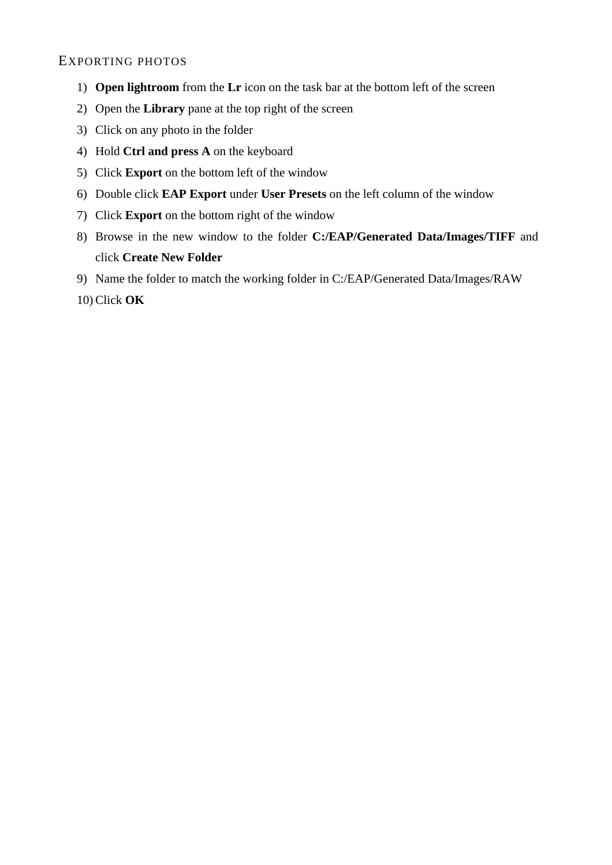### EXPORTING PHOTOS

- 1) **Open lightroom** from the **Lr** icon on the task bar at the bottom left of the screen
- 2) Open the **Library** pane at the top right of the screen
- 3) Click on any photo in the folder
- 4) Hold **Ctrl and press A** on the keyboard
- 5) Click **Export** on the bottom left of the window
- 6) Double click **EAP Export** under **User Presets** on the left column of the window
- 7) Click **Export** on the bottom right of the window
- 8) Browse in the new window to the folder **C:/EAP/Generated Data/Images/TIFF** and click **Create New Folder**
- 9) Name the folder to match the working folder in C:/EAP/Generated Data/Images/RAW
- 10) Click **OK**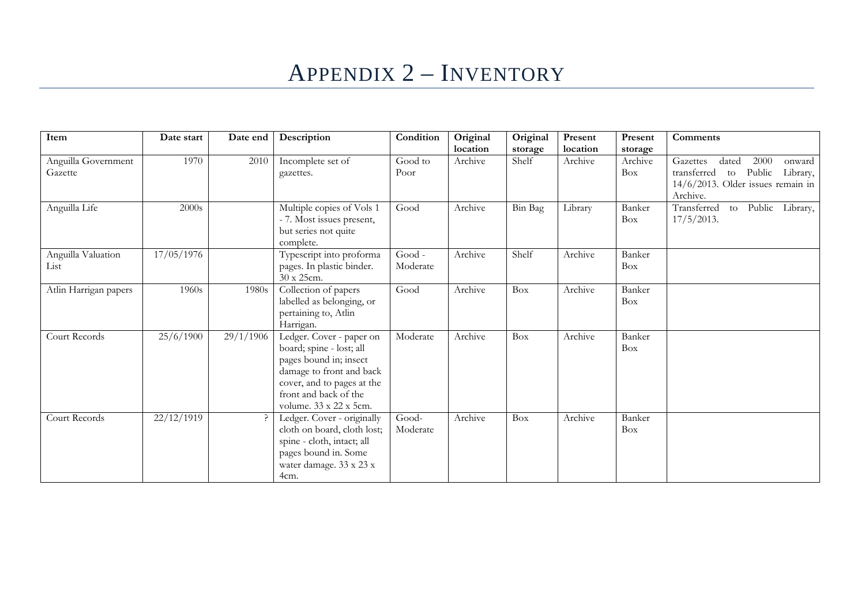## APPENDIX 2 – INVENTORY

| Item                           | Date start | Date end  | Description                                                                                                                                                                                 | Condition            | Original<br>location | Original<br>storage | Present<br>location | Present<br>storage   | <b>Comments</b>                                                                                                                    |
|--------------------------------|------------|-----------|---------------------------------------------------------------------------------------------------------------------------------------------------------------------------------------------|----------------------|----------------------|---------------------|---------------------|----------------------|------------------------------------------------------------------------------------------------------------------------------------|
| Anguilla Government<br>Gazette | 1970       | 2010      | Incomplete set of<br>gazettes.                                                                                                                                                              | Good to<br>Poor      | Archive              | Shelf               | Archive             | Archive<br>Box       | Gazettes<br>dated<br>2000<br>onward<br>Public<br>Library,<br>transferred<br>to<br>$14/6/2013$ . Older issues remain in<br>Archive. |
| Anguilla Life                  | 2000s      |           | Multiple copies of Vols 1<br>- 7. Most issues present,<br>but series not quite<br>complete.                                                                                                 | Good                 | Archive              | Bin Bag             | Library             | Banker<br><b>Box</b> | Transferred<br>Public Library,<br>to<br>$17/5/2013$ .                                                                              |
| Anguilla Valuation<br>List     | 17/05/1976 |           | Typescript into proforma<br>pages. In plastic binder.<br>30 x 25cm.                                                                                                                         | $Good -$<br>Moderate | Archive              | Shelf               | Archive             | Banker<br>Box        |                                                                                                                                    |
| Atlin Harrigan papers          | 1960s      | 1980s     | Collection of papers<br>labelled as belonging, or<br>pertaining to, Atlin<br>Harrigan.                                                                                                      | Good                 | Archive              | Box                 | Archive             | Banker<br>Box        |                                                                                                                                    |
| Court Records                  | 25/6/1900  | 29/1/1906 | Ledger. Cover - paper on<br>board; spine - lost; all<br>pages bound in; insect<br>damage to front and back<br>cover, and to pages at the<br>front and back of the<br>volume. 33 x 22 x 5cm. | Moderate             | Archive              | Box                 | Archive             | Banker<br>Box        |                                                                                                                                    |
| Court Records                  | 22/12/1919 |           | Ledger. Cover - originally<br>cloth on board, cloth lost;<br>spine - cloth, intact; all<br>pages bound in. Some<br>water damage. 33 x 23 x<br>4cm.                                          | Good-<br>Moderate    | Archive              | Box                 | Archive             | Banker<br><b>Box</b> |                                                                                                                                    |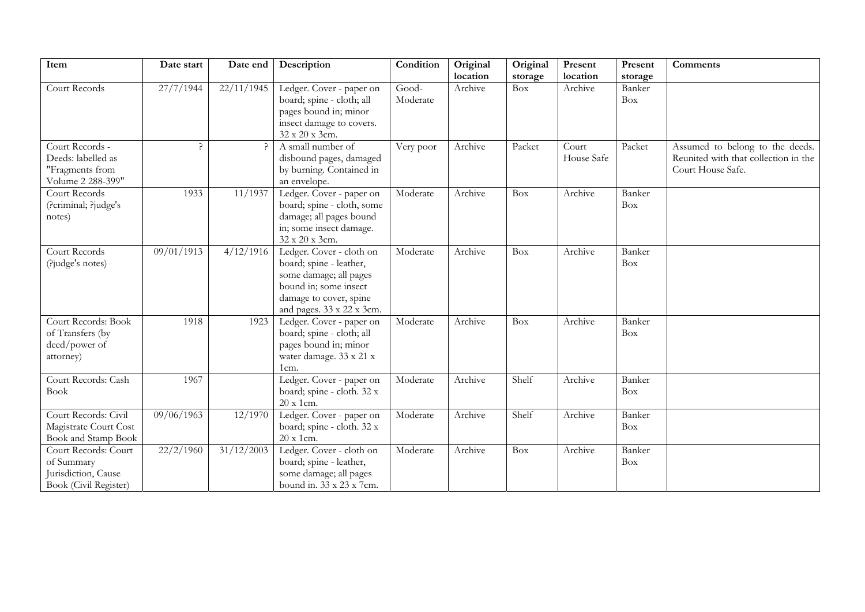| Item                                                                               | Date start | Date end   | Description                                                                                                                                                   | Condition         | Original<br>location | Original       | Present<br>location | Present                         | Comments                                                                                     |
|------------------------------------------------------------------------------------|------------|------------|---------------------------------------------------------------------------------------------------------------------------------------------------------------|-------------------|----------------------|----------------|---------------------|---------------------------------|----------------------------------------------------------------------------------------------|
| Court Records                                                                      | 27/7/1944  | 22/11/1945 | Ledger. Cover - paper on<br>board; spine - cloth; all<br>pages bound in; minor<br>insect damage to covers.<br>32 x 20 x 3cm.                                  | Good-<br>Moderate | Archive              | storage<br>Box | Archive             | storage<br>Banker<br><b>Box</b> |                                                                                              |
| Court Records -<br>Deeds: labelled as<br>"Fragments from<br>Volume 2 288-399"      | ς          |            | A small number of<br>disbound pages, damaged<br>by burning. Contained in<br>an envelope.                                                                      | Very poor         | Archive              | Packet         | Court<br>House Safe | Packet                          | Assumed to belong to the deeds.<br>Reunited with that collection in the<br>Court House Safe. |
| Court Records<br>(?criminal; ?judge's<br>notes)                                    | 1933       | 11/1937    | Ledger. Cover - paper on<br>board; spine - cloth, some<br>damage; all pages bound<br>in; some insect damage.<br>32 x 20 x 3cm.                                | Moderate          | Archive              | Box            | Archive             | Banker<br>Box                   |                                                                                              |
| Court Records<br>(?judge's notes)                                                  | 09/01/1913 | 4/12/1916  | Ledger. Cover - cloth on<br>board; spine - leather,<br>some damage; all pages<br>bound in; some insect<br>damage to cover, spine<br>and pages. 33 x 22 x 3cm. | Moderate          | Archive              | Box            | Archive             | Banker<br>Box                   |                                                                                              |
| Court Records: Book<br>of Transfers (by<br>deed/power of<br>attorney)              | 1918       | 1923       | Ledger. Cover - paper on<br>board; spine - cloth; all<br>pages bound in; minor<br>water damage. $33 \ge 21 \ge$<br>1cm.                                       | Moderate          | Archive              | Box            | Archive             | Banker<br>Box                   |                                                                                              |
| Court Records: Cash<br><b>Book</b>                                                 | 1967       |            | Ledger. Cover - paper on<br>board; spine - cloth. 32 x<br>20 x 1cm.                                                                                           | Moderate          | Archive              | Shelf          | Archive             | Banker<br>Box                   |                                                                                              |
| Court Records: Civil<br>Magistrate Court Cost<br>Book and Stamp Book               | 09/06/1963 | 12/1970    | Ledger. Cover - paper on<br>board; spine - cloth. 32 x<br>20 x 1cm.                                                                                           | Moderate          | Archive              | Shelf          | Archive             | Banker<br><b>Box</b>            |                                                                                              |
| Court Records: Court<br>of Summary<br>Jurisdiction, Cause<br>Book (Civil Register) | 22/2/1960  | 31/12/2003 | Ledger. Cover - cloth on<br>board; spine - leather,<br>some damage; all pages<br>bound in. 33 x 23 x 7cm.                                                     | Moderate          | Archive              | Box            | Archive             | Banker<br><b>Box</b>            |                                                                                              |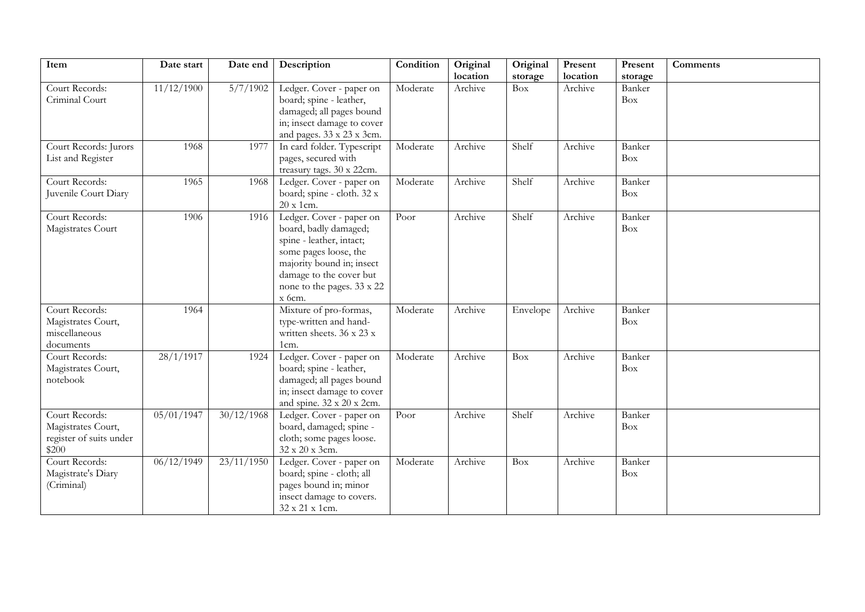| Item                             | Date start | Date end                       | Description                                         | Condition | Original | Original   | Present  | Present              | <b>Comments</b> |
|----------------------------------|------------|--------------------------------|-----------------------------------------------------|-----------|----------|------------|----------|----------------------|-----------------|
|                                  |            |                                |                                                     |           | location | storage    | location | storage              |                 |
| Court Records:<br>Criminal Court | 11/12/1900 | 5/7/1902                       | Ledger. Cover - paper on<br>board; spine - leather, | Moderate  | Archive  | Box        | Archive  | Banker<br><b>Box</b> |                 |
|                                  |            |                                | damaged; all pages bound                            |           |          |            |          |                      |                 |
|                                  |            |                                | in; insect damage to cover                          |           |          |            |          |                      |                 |
|                                  |            |                                | and pages. 33 x 23 x 3cm.                           |           |          |            |          |                      |                 |
| Court Records: Jurors            | 1968       | 1977                           | In card folder. Typescript                          | Moderate  | Archive  | Shelf      | Archive  | Banker               |                 |
| List and Register                |            |                                | pages, secured with<br>treasury tags. 30 x 22cm.    |           |          |            |          | Box                  |                 |
| Court Records:                   | 1965       | 1968                           | Ledger. Cover - paper on                            | Moderate  | Archive  | Shelf      | Archive  | Banker               |                 |
| Juvenile Court Diary             |            |                                | board; spine - cloth. 32 x                          |           |          |            |          | <b>Box</b>           |                 |
|                                  |            |                                | 20 x 1cm.                                           |           |          |            |          |                      |                 |
| Court Records:                   | 1906       | 1916                           | Ledger. Cover - paper on                            | Poor      | Archive  | Shelf      | Archive  | Banker               |                 |
| Magistrates Court                |            |                                | board, badly damaged;                               |           |          |            |          | Box                  |                 |
|                                  |            |                                | spine - leather, intact;<br>some pages loose, the   |           |          |            |          |                      |                 |
|                                  |            |                                | majority bound in; insect                           |           |          |            |          |                      |                 |
|                                  |            |                                | damage to the cover but                             |           |          |            |          |                      |                 |
|                                  |            |                                | none to the pages. 33 x 22                          |           |          |            |          |                      |                 |
|                                  |            |                                | x 6cm.                                              |           |          |            |          |                      |                 |
| Court Records:                   | 1964       |                                | Mixture of pro-formas,                              | Moderate  | Archive  | Envelope   | Archive  | Banker               |                 |
| Magistrates Court,               |            |                                | type-written and hand-                              |           |          |            |          | Box                  |                 |
| miscellaneous                    |            |                                | written sheets. 36 x 23 x                           |           |          |            |          |                      |                 |
| documents                        |            |                                | 1cm.                                                |           |          |            |          |                      |                 |
| Court Records:                   | 28/1/1917  | 1924                           | Ledger. Cover - paper on                            | Moderate  | Archive  | <b>Box</b> | Archive  | Banker               |                 |
| Magistrates Court,               |            |                                | board; spine - leather,                             |           |          |            |          | <b>Box</b>           |                 |
| notebook                         |            |                                | damaged; all pages bound                            |           |          |            |          |                      |                 |
|                                  |            |                                | in; insect damage to cover                          |           |          |            |          |                      |                 |
| Court Records:                   | 05/01/1947 | 30/12/1968                     | and spine. 32 x 20 x 2cm.                           |           | Archive  | Shelf      | Archive  | Banker               |                 |
| Magistrates Court,               |            |                                | Ledger. Cover - paper on<br>board, damaged; spine - | Poor      |          |            |          | Box                  |                 |
| register of suits under          |            |                                | cloth; some pages loose.                            |           |          |            |          |                      |                 |
| \$200                            |            |                                | 32 x 20 x 3cm.                                      |           |          |            |          |                      |                 |
| Court Records:                   | 06/12/1949 | $\frac{23}{11}{\frac{1950}{}}$ | Ledger. Cover - paper on                            | Moderate  | Archive  | Box        | Archive  | Banker               |                 |
| Magistrate's Diary               |            |                                | board; spine - cloth; all                           |           |          |            |          | Box                  |                 |
| (Criminal)                       |            |                                | pages bound in; minor                               |           |          |            |          |                      |                 |
|                                  |            |                                | insect damage to covers.                            |           |          |            |          |                      |                 |
|                                  |            |                                | 32 x 21 x 1cm.                                      |           |          |            |          |                      |                 |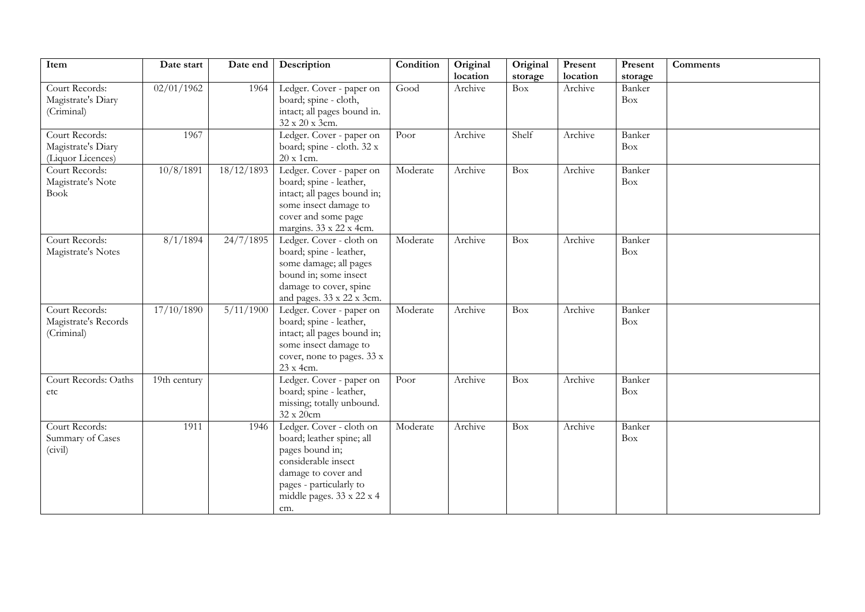| Item                                                      | Date start   | Date end   | Description                                                                                                                                                                           | Condition | Original<br>location | Original<br>storage | Present<br>location | Present<br>storage   | <b>Comments</b> |
|-----------------------------------------------------------|--------------|------------|---------------------------------------------------------------------------------------------------------------------------------------------------------------------------------------|-----------|----------------------|---------------------|---------------------|----------------------|-----------------|
| Court Records:<br>Magistrate's Diary<br>(Criminal)        | 02/01/1962   | 1964       | Ledger. Cover - paper on<br>board; spine - cloth,<br>intact; all pages bound in.<br>32 x 20 x 3cm.                                                                                    | Good      | Archive              | <b>Box</b>          | Archive             | Banker<br><b>Box</b> |                 |
| Court Records:<br>Magistrate's Diary<br>(Liquor Licences) | 1967         |            | Ledger. Cover - paper on<br>board; spine - cloth. 32 x<br>20 x 1cm.                                                                                                                   | Poor      | Archive              | Shelf               | Archive             | Banker<br><b>Box</b> |                 |
| Court Records:<br>Magistrate's Note<br><b>Book</b>        | 10/8/1891    | 18/12/1893 | Ledger. Cover - paper on<br>board; spine - leather,<br>intact; all pages bound in;<br>some insect damage to<br>cover and some page<br>margins. 33 x 22 x 4cm.                         | Moderate  | Archive              | Box                 | Archive             | Banker<br><b>Box</b> |                 |
| Court Records:<br>Magistrate's Notes                      | 8/1/1894     | 24/7/1895  | Ledger. Cover - cloth on<br>board; spine - leather,<br>some damage; all pages<br>bound in; some insect<br>damage to cover, spine<br>and pages. 33 x 22 x 3cm.                         | Moderate  | Archive              | Box                 | Archive             | Banker<br>Box        |                 |
| Court Records:<br>Magistrate's Records<br>(Criminal)      | 17/10/1890   | 5/11/1900  | Ledger. Cover - paper on<br>board; spine - leather,<br>intact; all pages bound in;<br>some insect damage to<br>cover, none to pages. 33 x<br>23 x 4cm.                                | Moderate  | Archive              | <b>Box</b>          | Archive             | Banker<br>Box        |                 |
| Court Records: Oaths<br>etc                               | 19th century |            | Ledger. Cover - paper on<br>board; spine - leather,<br>missing; totally unbound.<br>32 x 20cm                                                                                         | Poor      | Archive              | Box                 | Archive             | Banker<br>Box        |                 |
| Court Records:<br>Summary of Cases<br>(civil)             | 1911         | 1946       | Ledger. Cover - cloth on<br>board; leather spine; all<br>pages bound in;<br>considerable insect<br>damage to cover and<br>pages - particularly to<br>middle pages. 33 x 22 x 4<br>cm. | Moderate  | Archive              | <b>Box</b>          | Archive             | Banker<br>Box        |                 |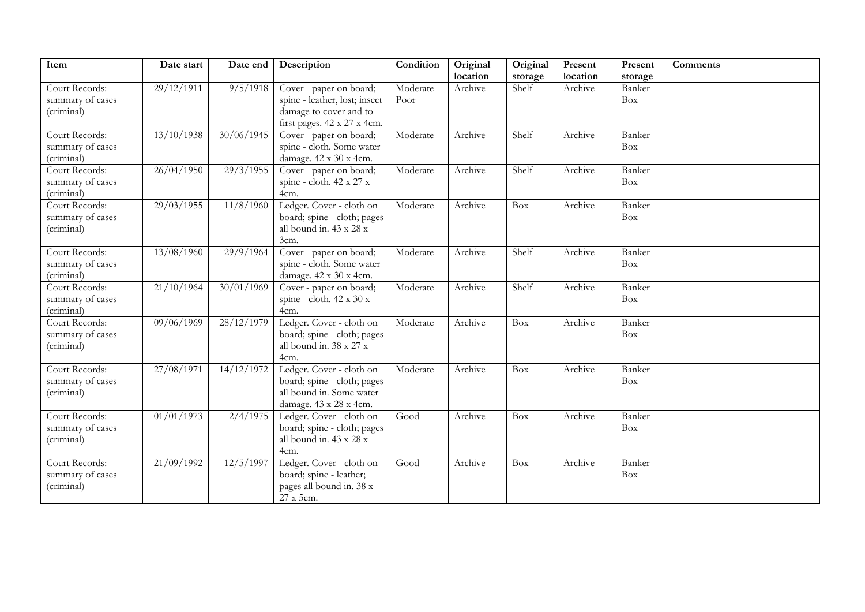| Item<br>Original<br>Original<br>Present<br>Date start<br>Date end<br>Description<br>Condition<br>Present<br><b>Comments</b>                                                                    |  |
|------------------------------------------------------------------------------------------------------------------------------------------------------------------------------------------------|--|
| location<br>location<br>storage<br>storage                                                                                                                                                     |  |
| 29/12/1911<br>9/5/1918<br>Moderate -<br>Archive<br>Archive<br>Court Records:<br>Cover - paper on board;<br>Shelf<br>Banker<br>spine - leather, lost; insect<br>summary of cases<br>Box<br>Poor |  |
| (criminal)<br>damage to cover and to                                                                                                                                                           |  |
| first pages. 42 x 27 x 4cm.                                                                                                                                                                    |  |
| Court Records:<br>13/10/1938<br>30/06/1945<br>Moderate<br>Archive<br>Shelf<br>Archive<br>Banker<br>Cover - paper on board;                                                                     |  |
| spine - cloth. Some water<br>summary of cases<br>Box                                                                                                                                           |  |
| (criminal)<br>damage. 42 x 30 x 4cm.                                                                                                                                                           |  |
| Court Records:<br>26/04/1950<br>29/3/1955<br>Cover - paper on board;<br>Archive<br>Shelf<br>Banker<br>Moderate<br>Archive                                                                      |  |
| spine - cloth. 42 x 27 x<br>summary of cases<br>Box                                                                                                                                            |  |
| (criminal)<br>4cm.                                                                                                                                                                             |  |
| 11/8/1960<br>Court Records:<br>29/03/1955<br>Ledger. Cover - cloth on<br>Archive<br>Archive<br>Banker<br>Moderate<br>Box                                                                       |  |
| board; spine - cloth; pages<br>summary of cases<br>Box                                                                                                                                         |  |
| all bound in. 43 x 28 x<br>(criminal)                                                                                                                                                          |  |
| 3cm.                                                                                                                                                                                           |  |
| Court Records:<br>13/08/1960<br>29/9/1964<br>Moderate<br>Shelf<br>Archive<br>Banker<br>Cover - paper on board;<br>Archive                                                                      |  |
| spine - cloth. Some water<br>summary of cases<br>Box                                                                                                                                           |  |
| damage. 42 x 30 x 4cm.<br>(criminal)                                                                                                                                                           |  |
| Court Records:<br>21/10/1964<br>$\frac{30}{01}$ /01/1969<br>Shelf<br>Archive<br>Cover - paper on board;<br>Moderate<br>Archive<br>Banker                                                       |  |
| summary of cases<br>spine - cloth. 42 x 30 x<br>Box                                                                                                                                            |  |
| 4cm.<br>(criminal)                                                                                                                                                                             |  |
| 09/06/1969<br>28/12/1979<br>Ledger. Cover - cloth on<br>Court Records:<br>Moderate<br>Archive<br>Archive<br>Banker<br>Box                                                                      |  |
| board; spine - cloth; pages<br>summary of cases<br>Box                                                                                                                                         |  |
| all bound in. 38 x 27 x<br>(criminal)                                                                                                                                                          |  |
| 4cm.                                                                                                                                                                                           |  |
| 27/08/1971<br>14/12/1972<br>Ledger. Cover - cloth on<br>Banker<br>Court Records:<br>Moderate<br>Archive<br>Archive<br>Box                                                                      |  |
| board; spine - cloth; pages<br>summary of cases<br>Box                                                                                                                                         |  |
| all bound in. Some water<br>(criminal)                                                                                                                                                         |  |
| damage. 43 x 28 x 4cm.                                                                                                                                                                         |  |
| $\frac{01}{01}{\frac{1973}{}}$<br>2/4/1975<br>Court Records:<br>Ledger. Cover - cloth on<br>Archive<br>Archive<br>Banker<br>Good<br><b>Box</b>                                                 |  |
| board; spine - cloth; pages<br>summary of cases<br>Box                                                                                                                                         |  |
| (criminal)<br>all bound in. 43 x 28 x<br>4cm.                                                                                                                                                  |  |
| 12/5/1997<br>Ledger. Cover - cloth on<br>Court Records:<br>21/09/1992<br>Good<br>Archive<br><b>Box</b><br>Archive<br>Banker                                                                    |  |
| summary of cases<br>board; spine - leather;<br>Box                                                                                                                                             |  |
| (criminal)<br>pages all bound in. 38 x                                                                                                                                                         |  |
| 27 x 5cm.                                                                                                                                                                                      |  |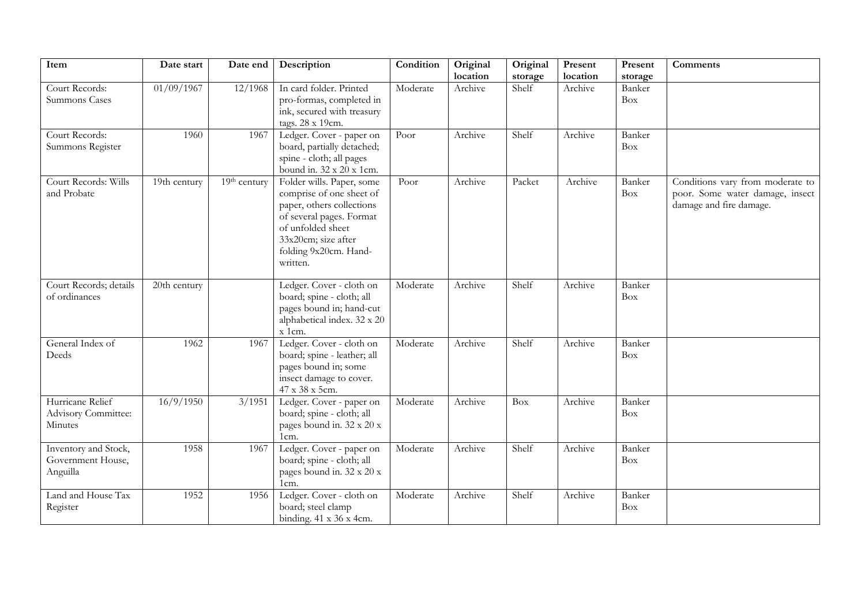| Item                                                  | Date start     | Date end     | Description                                                                                                                                                                                     | Condition | Original<br>location | Original<br>storage | Present<br>location | Present<br>storage | Comments                                                                                       |
|-------------------------------------------------------|----------------|--------------|-------------------------------------------------------------------------------------------------------------------------------------------------------------------------------------------------|-----------|----------------------|---------------------|---------------------|--------------------|------------------------------------------------------------------------------------------------|
| Court Records:<br>Summons Cases                       | 01/09/1967     | 12/1968      | In card folder. Printed<br>pro-formas, completed in<br>ink, secured with treasury<br>tags. 28 x 19cm.                                                                                           | Moderate  | Archive              | Shelf               | Archive             | Banker<br>Box      |                                                                                                |
| Court Records:<br>Summons Register                    | 1960           | 1967         | Ledger. Cover - paper on<br>board, partially detached;<br>spine - cloth; all pages<br>bound in. 32 x 20 x 1cm.                                                                                  | Poor      | Archive              | Shelf               | Archive             | Banker<br>Box      |                                                                                                |
| Court Records: Wills<br>and Probate                   | $19th$ century | 19th century | Folder wills. Paper, some<br>comprise of one sheet of<br>paper, others collections<br>of several pages. Format<br>of unfolded sheet<br>33x20cm; size after<br>folding 9x20cm. Hand-<br>written. | Poor      | Archive              | Packet              | Archive             | Banker<br>Box      | Conditions vary from moderate to<br>poor. Some water damage, insect<br>damage and fire damage. |
| Court Records; details<br>of ordinances               | 20th century   |              | Ledger. Cover - cloth on<br>board; spine - cloth; all<br>pages bound in; hand-cut<br>alphabetical index. 32 x 20<br>x 1cm.                                                                      | Moderate  | Archive              | Shelf               | Archive             | Banker<br>Box      |                                                                                                |
| General Index of<br>Deeds                             | 1962           | 1967         | Ledger. Cover - cloth on<br>board; spine - leather; all<br>pages bound in; some<br>insect damage to cover.<br>47 x 38 x 5cm.                                                                    | Moderate  | Archive              | Shelf               | Archive             | Banker<br>Box      |                                                                                                |
| Hurricane Relief<br>Advisory Committee:<br>Minutes    | 16/9/1950      | 3/1951       | Ledger. Cover - paper on<br>board; spine - cloth; all<br>pages bound in. 32 x 20 x<br>1cm.                                                                                                      | Moderate  | Archive              | Box                 | Archive             | Banker<br>Box      |                                                                                                |
| Inventory and Stock,<br>Government House,<br>Anguilla | 1958           | 1967         | Ledger. Cover - paper on<br>board; spine - cloth; all<br>pages bound in. 32 x 20 x<br>1cm.                                                                                                      | Moderate  | Archive              | Shelf               | Archive             | Banker<br>Box      |                                                                                                |
| Land and House Tax<br>Register                        | 1952           | 1956         | Ledger. Cover - cloth on<br>board; steel clamp<br>binding. $41 \times 36 \times 4$ cm.                                                                                                          | Moderate  | Archive              | Shelf               | Archive             | Banker<br>Box      |                                                                                                |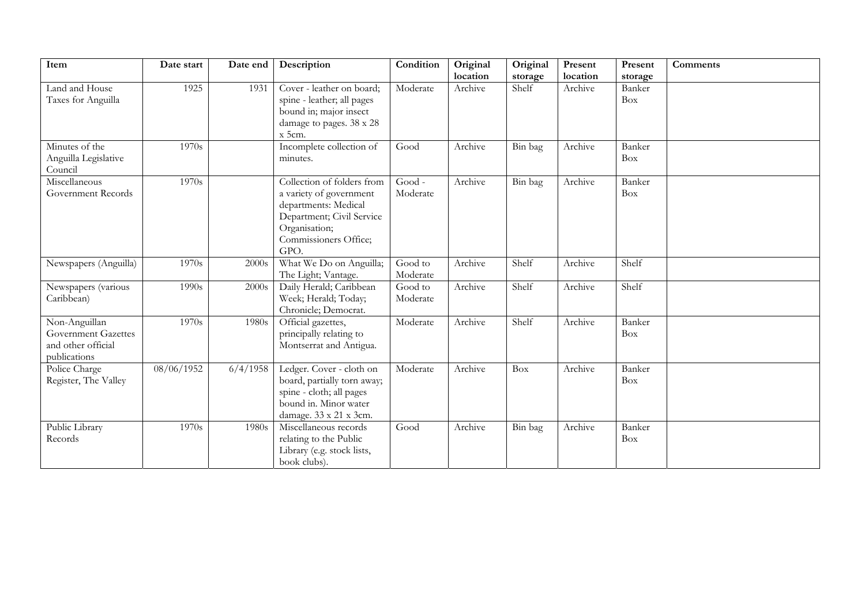| Item                                                                       | Date start | Date end | Description                                                                                                                                                  | Condition           | Original | Original | Present  | Present              | <b>Comments</b> |
|----------------------------------------------------------------------------|------------|----------|--------------------------------------------------------------------------------------------------------------------------------------------------------------|---------------------|----------|----------|----------|----------------------|-----------------|
|                                                                            |            |          |                                                                                                                                                              |                     | location | storage  | location | storage              |                 |
| Land and House<br>Taxes for Anguilla                                       | 1925       | 1931     | Cover - leather on board;<br>spine - leather; all pages<br>bound in; major insect<br>damage to pages. 38 x 28<br>x 5cm.                                      | Moderate            | Archive  | Shelf    | Archive  | Banker<br><b>Box</b> |                 |
| Minutes of the<br>Anguilla Legislative<br>Council                          | 1970s      |          | Incomplete collection of<br>minutes.                                                                                                                         | Good                | Archive  | Bin bag  | Archive  | Banker<br>Box        |                 |
| Miscellaneous<br>Government Records                                        | 1970s      |          | Collection of folders from<br>a variety of government<br>departments: Medical<br>Department; Civil Service<br>Organisation;<br>Commissioners Office;<br>GPO. | Good -<br>Moderate  | Archive  | Bin bag  | Archive  | Banker<br>Box        |                 |
| Newspapers (Anguilla)                                                      | 1970s      | 2000s    | What We Do on Anguilla;<br>The Light; Vantage.                                                                                                               | Good to<br>Moderate | Archive  | Shelf    | Archive  | Shelf                |                 |
| Newspapers (various<br>Caribbean)                                          | 1990s      | 2000s    | Daily Herald; Caribbean<br>Week; Herald; Today;<br>Chronicle; Democrat.                                                                                      | Good to<br>Moderate | Archive  | Shelf    | Archive  | Shelf                |                 |
| Non-Anguillan<br>Government Gazettes<br>and other official<br>publications | 1970s      | 1980s    | Official gazettes,<br>principally relating to<br>Montserrat and Antigua.                                                                                     | Moderate            | Archive  | Shelf    | Archive  | Banker<br>Box        |                 |
| Police Charge<br>Register, The Valley                                      | 08/06/1952 | 6/4/1958 | Ledger. Cover - cloth on<br>board, partially torn away;<br>spine - cloth; all pages<br>bound in. Minor water<br>damage. 33 x 21 x 3cm.                       | Moderate            | Archive  | Box      | Archive  | Banker<br>Box        |                 |
| Public Library<br>Records                                                  | 1970s      | 1980s    | Miscellaneous records<br>relating to the Public<br>Library (e.g. stock lists,<br>book clubs).                                                                | Good                | Archive  | Bin bag  | Archive  | Banker<br>Box        |                 |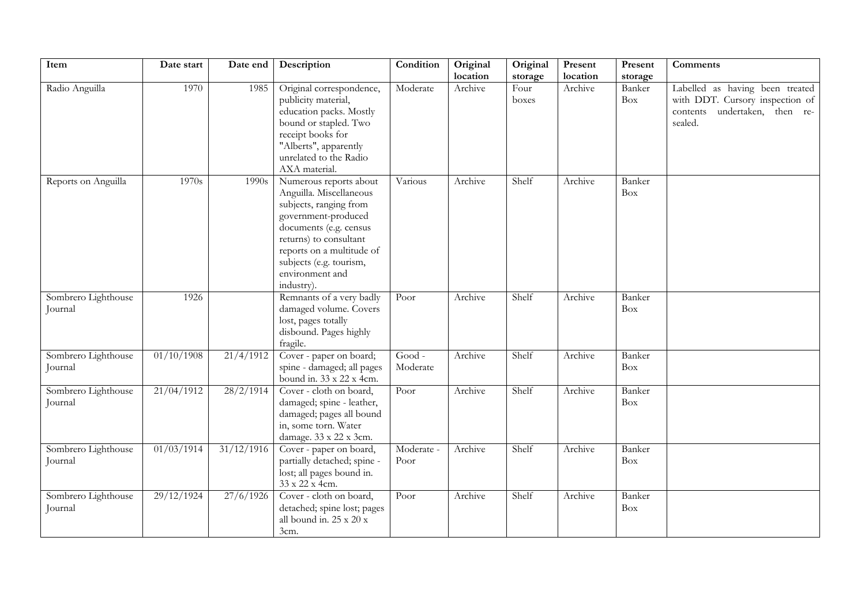| Item                           | Date start | Date end           | Description                                                                                                                                                                                                                                     | Condition          | Original<br>location | Original<br>storage | Present<br>location | Present<br>storage   | <b>Comments</b>                                                                                                   |
|--------------------------------|------------|--------------------|-------------------------------------------------------------------------------------------------------------------------------------------------------------------------------------------------------------------------------------------------|--------------------|----------------------|---------------------|---------------------|----------------------|-------------------------------------------------------------------------------------------------------------------|
| Radio Anguilla                 | 1970       | 1985               | Original correspondence,<br>publicity material,<br>education packs. Mostly<br>bound or stapled. Two<br>receipt books for<br>"Alberts", apparently<br>unrelated to the Radio<br>AXA material.                                                    | Moderate           | Archive              | Four<br>boxes       | Archive             | Banker<br><b>Box</b> | Labelled as having been treated<br>with DDT. Cursory inspection of<br>undertaken, then re-<br>contents<br>sealed. |
| Reports on Anguilla            | 1970s      | $\overline{1}990s$ | Numerous reports about<br>Anguilla. Miscellaneous<br>subjects, ranging from<br>government-produced<br>documents (e.g. census<br>returns) to consultant<br>reports on a multitude of<br>subjects (e.g. tourism,<br>environment and<br>industry). | Various            | Archive              | Shelf               | Archive             | Banker<br>Box        |                                                                                                                   |
| Sombrero Lighthouse<br>Journal | 1926       |                    | Remnants of a very badly<br>damaged volume. Covers<br>lost, pages totally<br>disbound. Pages highly<br>fragile.                                                                                                                                 | Poor               | Archive              | Shelf               | Archive             | Banker<br>Box        |                                                                                                                   |
| Sombrero Lighthouse<br>Journal | 01/10/1908 | 21/4/1912          | Cover - paper on board;<br>spine - damaged; all pages<br>bound in. 33 x 22 x 4cm.                                                                                                                                                               | Good -<br>Moderate | Archive              | Shelf               | Archive             | Banker<br>Box        |                                                                                                                   |
| Sombrero Lighthouse<br>Journal | 21/04/1912 | 28/2/1914          | Cover - cloth on board,<br>damaged; spine - leather,<br>damaged; pages all bound<br>in, some torn. Water<br>damage. 33 x 22 x 3cm.                                                                                                              | Poor               | Archive              | Shelf               | Archive             | Banker<br>Box        |                                                                                                                   |
| Sombrero Lighthouse<br>Journal | 01/03/1914 | 31/12/1916         | Cover - paper on board,<br>partially detached; spine -<br>lost; all pages bound in.<br>33 x 22 x 4cm.                                                                                                                                           | Moderate -<br>Poor | Archive              | Shelf               | Archive             | Banker<br>Box        |                                                                                                                   |
| Sombrero Lighthouse<br>Journal | 29/12/1924 | 27/6/1926          | Cover - cloth on board,<br>detached; spine lost; pages<br>all bound in. 25 x 20 x<br>3cm.                                                                                                                                                       | Poor               | Archive              | Shelf               | Archive             | Banker<br>Box        |                                                                                                                   |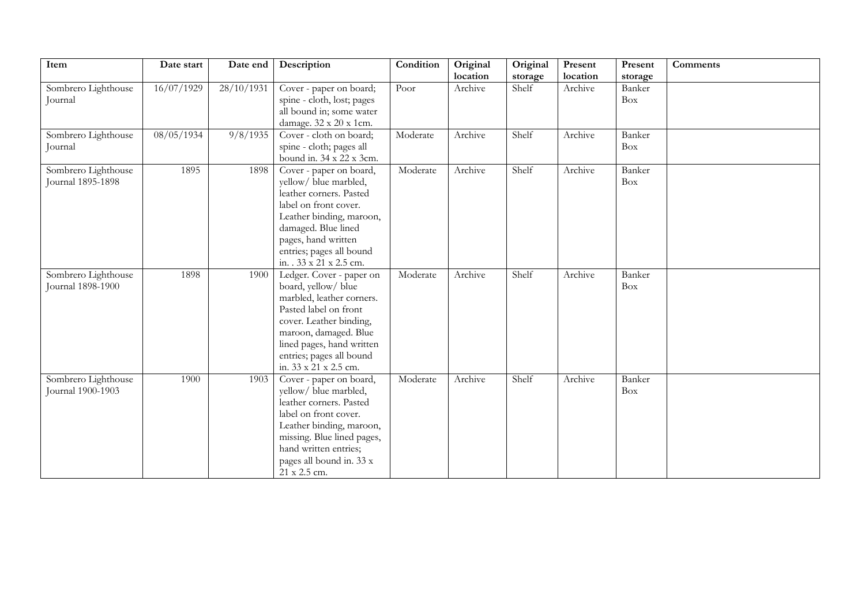| Item                | Date start | Date end   | Description                | Condition | Original | Original | Present  | Present | <b>Comments</b> |
|---------------------|------------|------------|----------------------------|-----------|----------|----------|----------|---------|-----------------|
|                     |            |            |                            |           | location | storage  | location | storage |                 |
| Sombrero Lighthouse | 16/07/1929 | 28/10/1931 | Cover - paper on board;    | Poor      | Archive  | Shelf    | Archive  | Banker  |                 |
| Journal             |            |            | spine - cloth, lost; pages |           |          |          |          | Box     |                 |
|                     |            |            | all bound in; some water   |           |          |          |          |         |                 |
|                     |            |            | damage. 32 x 20 x 1cm.     |           |          |          |          |         |                 |
| Sombrero Lighthouse | 08/05/1934 | 9/8/1935   | Cover - cloth on board;    | Moderate  | Archive  | Shelf    | Archive  | Banker  |                 |
| Journal             |            |            | spine - cloth; pages all   |           |          |          |          | Box     |                 |
|                     |            |            | bound in. 34 x 22 x 3cm.   |           |          |          |          |         |                 |
| Sombrero Lighthouse | 1895       | 1898       | Cover - paper on board,    | Moderate  | Archive  | Shelf    | Archive  | Banker  |                 |
| Journal 1895-1898   |            |            | yellow/ blue marbled,      |           |          |          |          | Box     |                 |
|                     |            |            | leather corners. Pasted    |           |          |          |          |         |                 |
|                     |            |            | label on front cover.      |           |          |          |          |         |                 |
|                     |            |            | Leather binding, maroon,   |           |          |          |          |         |                 |
|                     |            |            | damaged. Blue lined        |           |          |          |          |         |                 |
|                     |            |            | pages, hand written        |           |          |          |          |         |                 |
|                     |            |            | entries; pages all bound   |           |          |          |          |         |                 |
|                     |            |            | in. . 33 x 21 x 2.5 cm.    |           |          |          |          |         |                 |
| Sombrero Lighthouse | 1898       | 1900       | Ledger. Cover - paper on   | Moderate  | Archive  | Shelf    | Archive  | Banker  |                 |
| Journal 1898-1900   |            |            | board, yellow/ blue        |           |          |          |          | Box     |                 |
|                     |            |            | marbled, leather corners.  |           |          |          |          |         |                 |
|                     |            |            | Pasted label on front      |           |          |          |          |         |                 |
|                     |            |            | cover. Leather binding,    |           |          |          |          |         |                 |
|                     |            |            | maroon, damaged. Blue      |           |          |          |          |         |                 |
|                     |            |            | lined pages, hand written  |           |          |          |          |         |                 |
|                     |            |            | entries; pages all bound   |           |          |          |          |         |                 |
|                     |            |            | in. 33 x 21 x 2.5 cm.      |           |          |          |          |         |                 |
| Sombrero Lighthouse | 1900       | 1903       | Cover - paper on board,    | Moderate  | Archive  | Shelf    | Archive  | Banker  |                 |
| Journal 1900-1903   |            |            | yellow/ blue marbled,      |           |          |          |          | Box     |                 |
|                     |            |            | leather corners. Pasted    |           |          |          |          |         |                 |
|                     |            |            | label on front cover.      |           |          |          |          |         |                 |
|                     |            |            | Leather binding, maroon,   |           |          |          |          |         |                 |
|                     |            |            | missing. Blue lined pages, |           |          |          |          |         |                 |
|                     |            |            | hand written entries;      |           |          |          |          |         |                 |
|                     |            |            | pages all bound in. 33 x   |           |          |          |          |         |                 |
|                     |            |            | 21 x 2.5 cm.               |           |          |          |          |         |                 |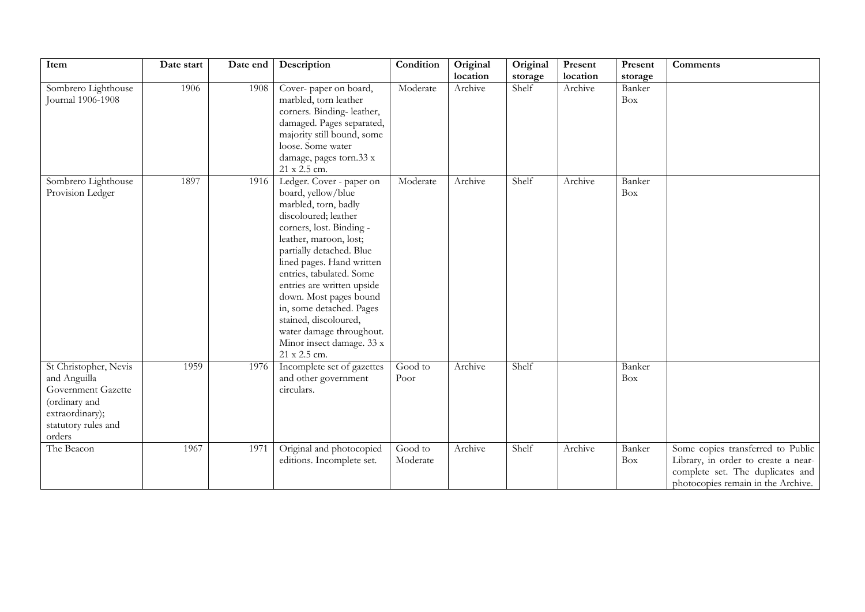| Item                                                                                                                             | Date start | Date end | Description                                                                                                                                                                                                                                                                                                                                                                                                                     | Condition           | Original | Original | Present  | Present              | <b>Comments</b>                                                                                                                                    |
|----------------------------------------------------------------------------------------------------------------------------------|------------|----------|---------------------------------------------------------------------------------------------------------------------------------------------------------------------------------------------------------------------------------------------------------------------------------------------------------------------------------------------------------------------------------------------------------------------------------|---------------------|----------|----------|----------|----------------------|----------------------------------------------------------------------------------------------------------------------------------------------------|
|                                                                                                                                  |            |          |                                                                                                                                                                                                                                                                                                                                                                                                                                 |                     | location | storage  | location | storage              |                                                                                                                                                    |
| Sombrero Lighthouse<br>Journal 1906-1908                                                                                         | 1906       | 1908     | Cover-paper on board,<br>marbled, torn leather<br>corners. Binding-leather,<br>damaged. Pages separated,<br>majority still bound, some<br>loose. Some water<br>damage, pages torn.33 x<br>21 x 2.5 cm.                                                                                                                                                                                                                          | Moderate            | Archive  | Shelf    | Archive  | Banker<br><b>Box</b> |                                                                                                                                                    |
| Sombrero Lighthouse<br>Provision Ledger                                                                                          | 1897       | 1916     | Ledger. Cover - paper on<br>board, yellow/blue<br>marbled, torn, badly<br>discoloured; leather<br>corners, lost. Binding -<br>leather, maroon, lost;<br>partially detached. Blue<br>lined pages. Hand written<br>entries, tabulated. Some<br>entries are written upside<br>down. Most pages bound<br>in, some detached. Pages<br>stained, discoloured,<br>water damage throughout.<br>Minor insect damage. 33 x<br>21 x 2.5 cm. | Moderate            | Archive  | Shelf    | Archive  | Banker<br><b>Box</b> |                                                                                                                                                    |
| St Christopher, Nevis<br>and Anguilla<br>Government Gazette<br>(ordinary and<br>extraordinary);<br>statutory rules and<br>orders | 1959       | 1976     | Incomplete set of gazettes<br>and other government<br>circulars.                                                                                                                                                                                                                                                                                                                                                                | Good to<br>Poor     | Archive  | Shelf    |          | Banker<br>Box        |                                                                                                                                                    |
| The Beacon                                                                                                                       | 1967       | 1971     | Original and photocopied<br>editions. Incomplete set.                                                                                                                                                                                                                                                                                                                                                                           | Good to<br>Moderate | Archive  | Shelf    | Archive  | Banker<br>Box        | Some copies transferred to Public<br>Library, in order to create a near-<br>complete set. The duplicates and<br>photocopies remain in the Archive. |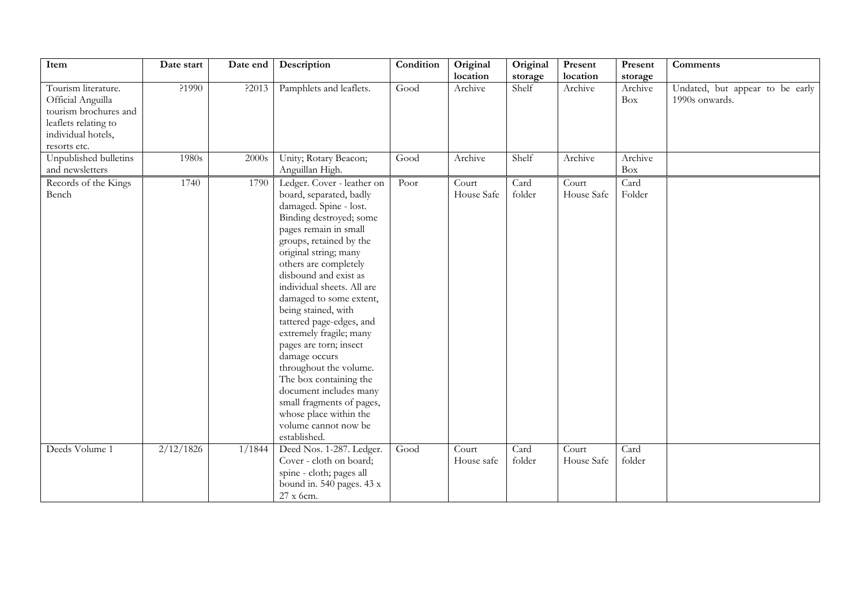| Item                                                                                                                            | Date start | Date end | Description                                                                                                                                                                                                                                                                                                                                                                                                                                                                                                                                                                                              | Condition | Original<br>location | Original<br>storage | Present<br>location | Present<br>storage | <b>Comments</b>                                   |
|---------------------------------------------------------------------------------------------------------------------------------|------------|----------|----------------------------------------------------------------------------------------------------------------------------------------------------------------------------------------------------------------------------------------------------------------------------------------------------------------------------------------------------------------------------------------------------------------------------------------------------------------------------------------------------------------------------------------------------------------------------------------------------------|-----------|----------------------|---------------------|---------------------|--------------------|---------------------------------------------------|
| Tourism literature.<br>Official Anguilla<br>tourism brochures and<br>leaflets relating to<br>individual hotels,<br>resorts etc. | ?1990      | ?2013    | Pamphlets and leaflets.                                                                                                                                                                                                                                                                                                                                                                                                                                                                                                                                                                                  | Good      | Archive              | Shelf               | Archive             | Archive<br>Box     | Undated, but appear to be early<br>1990s onwards. |
| Unpublished bulletins<br>and newsletters                                                                                        | 1980s      | 2000s    | Unity; Rotary Beacon;<br>Anguillan High.                                                                                                                                                                                                                                                                                                                                                                                                                                                                                                                                                                 | Good      | Archive              | Shelf               | Archive             | Archive<br>Box     |                                                   |
| Records of the Kings<br>Bench                                                                                                   | 1740       | 1790     | Ledger. Cover - leather on<br>board, separated, badly<br>damaged. Spine - lost.<br>Binding destroyed; some<br>pages remain in small<br>groups, retained by the<br>original string; many<br>others are completely<br>disbound and exist as<br>individual sheets. All are<br>damaged to some extent,<br>being stained, with<br>tattered page-edges, and<br>extremely fragile; many<br>pages are torn; insect<br>damage occurs<br>throughout the volume.<br>The box containing the<br>document includes many<br>small fragments of pages,<br>whose place within the<br>volume cannot now be<br>established. | Poor      | Court<br>House Safe  | Card<br>folder      | Court<br>House Safe | Card<br>Folder     |                                                   |
| Deeds Volume 1                                                                                                                  | 2/12/1826  | 1/1844   | Deed Nos. 1-287. Ledger.<br>Cover - cloth on board;<br>spine - cloth; pages all<br>bound in. 540 pages. 43 x<br>27 x 6cm.                                                                                                                                                                                                                                                                                                                                                                                                                                                                                | Good      | Court<br>House safe  | Card<br>folder      | Court<br>House Safe | Card<br>folder     |                                                   |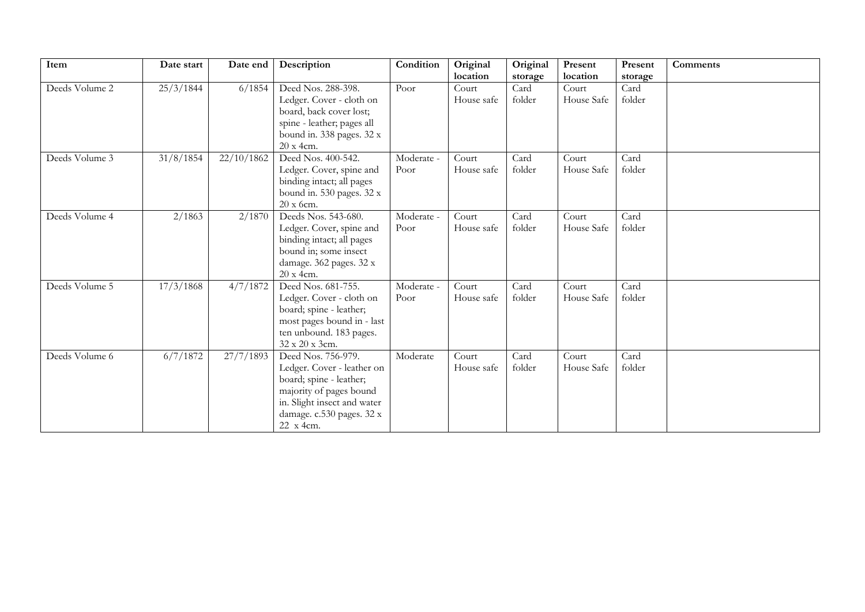| Item           | Date start | Date end              | Description                                                                                                                                                                     | Condition          | Original            | Original       | Present             | Present        | <b>Comments</b> |
|----------------|------------|-----------------------|---------------------------------------------------------------------------------------------------------------------------------------------------------------------------------|--------------------|---------------------|----------------|---------------------|----------------|-----------------|
|                |            |                       |                                                                                                                                                                                 |                    | location            | storage        | location            | storage        |                 |
| Deeds Volume 2 | 25/3/1844  | 6/1854                | Deed Nos. 288-398.<br>Ledger. Cover - cloth on<br>board, back cover lost;                                                                                                       | Poor               | Court<br>House safe | Card<br>folder | Court<br>House Safe | Card<br>folder |                 |
|                |            |                       | spine - leather; pages all<br>bound in. 338 pages. 32 x<br>20 x 4cm.                                                                                                            |                    |                     |                |                     |                |                 |
| Deeds Volume 3 | 31/8/1854  | $\frac{22}{10}$ /1862 | Deed Nos. 400-542.<br>Ledger. Cover, spine and<br>binding intact; all pages<br>bound in. 530 pages. 32 x<br>20 x 6cm.                                                           | Moderate -<br>Poor | Court<br>House safe | Card<br>folder | Court<br>House Safe | Card<br>folder |                 |
| Deeds Volume 4 | 2/1863     | 2/1870                | Deeds Nos. 543-680.<br>Ledger. Cover, spine and<br>binding intact; all pages<br>bound in; some insect<br>damage. 362 pages. 32 x<br>20 x 4cm.                                   | Moderate -<br>Poor | Court<br>House safe | Card<br>folder | Court<br>House Safe | Card<br>folder |                 |
| Deeds Volume 5 | 17/3/1868  | 4/7/1872              | Deed Nos. 681-755.<br>Ledger. Cover - cloth on<br>board; spine - leather;<br>most pages bound in - last<br>ten unbound. 183 pages.<br>32 x 20 x 3cm.                            | Moderate -<br>Poor | Court<br>House safe | Card<br>folder | Court<br>House Safe | Card<br>folder |                 |
| Deeds Volume 6 | 6/7/1872   | 27/7/1893             | Deed Nos. 756-979.<br>Ledger. Cover - leather on<br>board; spine - leather;<br>majority of pages bound<br>in. Slight insect and water<br>damage. c.530 pages. 32 x<br>22 x 4cm. | Moderate           | Court<br>House safe | Card<br>folder | Court<br>House Safe | Card<br>folder |                 |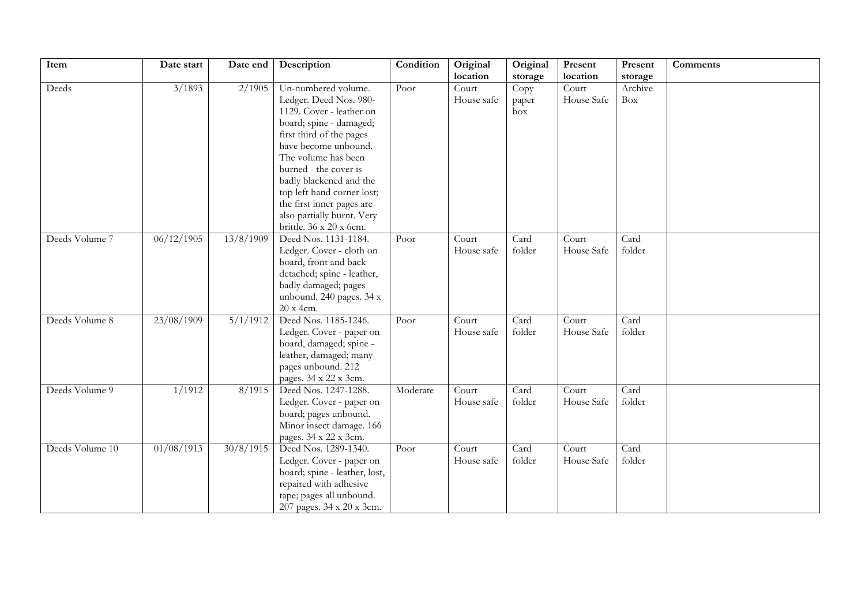| Item<br>Condition<br>Original<br>Date start<br>Description<br>Original<br>Present<br>Present<br>Date end<br>location<br>location      | <b>Comments</b> |
|---------------------------------------------------------------------------------------------------------------------------------------|-----------------|
| storage<br>storage<br>Deeds<br>3/1893<br>2/1905<br>Un-numbered volume.<br>Poor<br>Court<br>Court<br>Archive<br>Copy                   |                 |
| House safe<br>House Safe<br>Ledger. Deed Nos. 980-<br>Box<br>paper                                                                    |                 |
| 1129. Cover - leather on<br>box                                                                                                       |                 |
| board; spine - damaged;                                                                                                               |                 |
| first third of the pages                                                                                                              |                 |
| have become unbound.                                                                                                                  |                 |
| The volume has been                                                                                                                   |                 |
| burned - the cover is                                                                                                                 |                 |
| badly blackened and the                                                                                                               |                 |
| top left hand corner lost;                                                                                                            |                 |
| the first inner pages are                                                                                                             |                 |
| also partially burnt. Very                                                                                                            |                 |
| brittle. 36 x 20 x 6cm.                                                                                                               |                 |
| Deed Nos. 1131-1184.<br>06/12/1905<br>13/8/1909<br>Deeds Volume 7<br>Card<br>Card<br>$\overline{C}$ ourt<br>Court<br>Poor             |                 |
| folder<br>Ledger. Cover - cloth on<br>House safe<br>folder<br>House Safe                                                              |                 |
| board, front and back                                                                                                                 |                 |
| detached; spine - leather,                                                                                                            |                 |
| badly damaged; pages                                                                                                                  |                 |
| unbound. 240 pages. 34 x                                                                                                              |                 |
| 20 x 4cm.                                                                                                                             |                 |
| 23/08/1909<br>5/1/1912<br>Deed Nos. 1185-1246.<br>Card<br>Deeds Volume 8<br>Court<br>Card<br>Court<br>Poor                            |                 |
| House safe<br>House Safe<br>folder<br>Ledger. Cover - paper on<br>folder                                                              |                 |
| board, damaged; spine -                                                                                                               |                 |
| leather, damaged; many                                                                                                                |                 |
| pages unbound. 212                                                                                                                    |                 |
| pages. 34 x 22 x 3cm.                                                                                                                 |                 |
| Deeds Volume 9<br>1/1912<br>Card<br>8/1915<br>Deed Nos. 1247-1288.<br>Moderate<br>Court<br>Card<br>Court                              |                 |
| folder<br>folder<br>Ledger. Cover - paper on<br>House safe<br>House Safe                                                              |                 |
| board; pages unbound.<br>Minor insect damage. 166                                                                                     |                 |
|                                                                                                                                       |                 |
| pages. 34 x 22 x 3cm.<br>01/08/1913<br>30/8/1915<br>Deed Nos. 1289-1340.<br>Deeds Volume 10<br>Card<br>Court<br>Card<br>Poor<br>Court |                 |
| folder<br>House safe<br>folder<br>House Safe<br>Ledger. Cover - paper on                                                              |                 |
| board; spine - leather, lost,                                                                                                         |                 |
| repaired with adhesive                                                                                                                |                 |
| tape; pages all unbound.                                                                                                              |                 |
| 207 pages. 34 x 20 x 3cm.                                                                                                             |                 |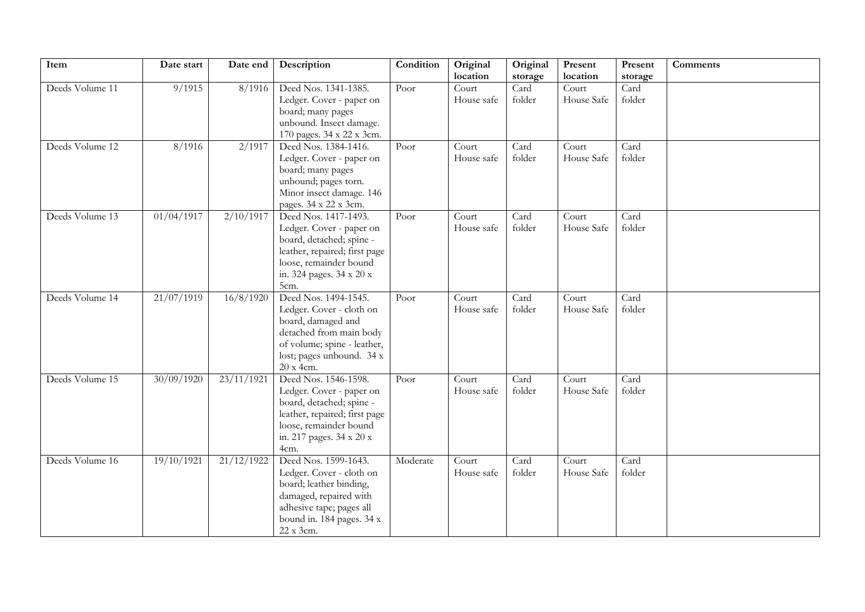| Item            | Date start | Date end   | Description                                                                                                                                                                 | Condition | Original<br>location | Original<br>storage | Present<br>location | Present<br>storage | Comments |
|-----------------|------------|------------|-----------------------------------------------------------------------------------------------------------------------------------------------------------------------------|-----------|----------------------|---------------------|---------------------|--------------------|----------|
| Deeds Volume 11 | 9/1915     | 8/1916     | Deed Nos. 1341-1385.<br>Ledger. Cover - paper on<br>board; many pages<br>unbound. Insect damage.<br>170 pages. 34 x 22 x 3cm.                                               | Poor      | Court<br>House safe  | Card<br>folder      | Court<br>House Safe | Card<br>folder     |          |
| Deeds Volume 12 | 8/1916     | 2/1917     | Deed Nos. 1384-1416.<br>Ledger. Cover - paper on<br>board; many pages<br>unbound; pages torn.<br>Minor insect damage. 146<br>pages. 34 x 22 x 3cm.                          | Poor      | Court<br>House safe  | Card<br>folder      | Court<br>House Safe | Card<br>folder     |          |
| Deeds Volume 13 | 01/04/1917 | 2/10/1917  | Deed Nos. 1417-1493.<br>Ledger. Cover - paper on<br>board, detached; spine -<br>leather, repaired; first page<br>loose, remainder bound<br>in. 324 pages. 34 x 20 x<br>5cm. | Poor      | Court<br>House safe  | Card<br>folder      | Court<br>House Safe | Card<br>folder     |          |
| Deeds Volume 14 | 21/07/1919 | 16/8/1920  | Deed Nos. 1494-1545.<br>Ledger. Cover - cloth on<br>board, damaged and<br>detached from main body<br>of volume; spine - leather,<br>lost; pages unbound. 34 x<br>20 x 4cm.  | Poor      | Court<br>House safe  | Card<br>folder      | Court<br>House Safe | Card<br>folder     |          |
| Deeds Volume 15 | 30/09/1920 | 23/11/1921 | Deed Nos. 1546-1598.<br>Ledger. Cover - paper on<br>board, detached; spine -<br>leather, repaired; first page<br>loose, remainder bound<br>in. 217 pages. 34 x 20 x<br>4cm. | Poor      | Court<br>House safe  | Card<br>folder      | Court<br>House Safe | Card<br>folder     |          |
| Deeds Volume 16 | 19/10/1921 | 21/12/1922 | Deed Nos. 1599-1643.<br>Ledger. Cover - cloth on<br>board; leather binding,<br>damaged, repaired with<br>adhesive tape; pages all<br>bound in. 184 pages. 34 x<br>22 x 3cm. | Moderate  | Court<br>House safe  | Card<br>folder      | Court<br>House Safe | Card<br>folder     |          |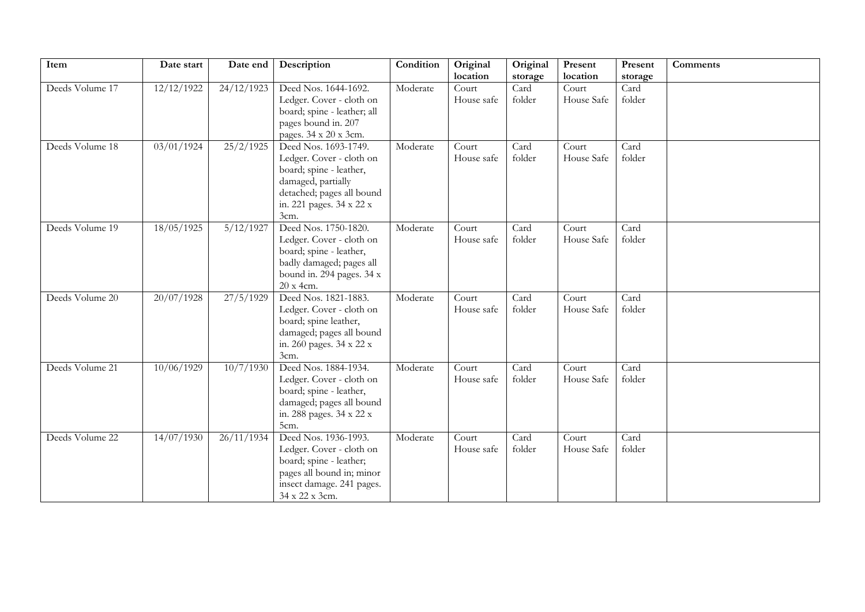| Item            | Date start | Date end   | Description                       | Condition | Original   | Original | Present    | Present | <b>Comments</b> |
|-----------------|------------|------------|-----------------------------------|-----------|------------|----------|------------|---------|-----------------|
|                 |            |            |                                   |           | location   | storage  | location   | storage |                 |
| Deeds Volume 17 | 12/12/1922 | 24/12/1923 | Deed Nos. 1644-1692.              | Moderate  | Court      | Card     | Court      | Card    |                 |
|                 |            |            | Ledger. Cover - cloth on          |           | House safe | folder   | House Safe | folder  |                 |
|                 |            |            | board; spine - leather; all       |           |            |          |            |         |                 |
|                 |            |            | pages bound in. 207               |           |            |          |            |         |                 |
|                 |            |            | pages. 34 x 20 x 3cm.             |           |            |          |            |         |                 |
| Deeds Volume 18 | 03/01/1924 | 25/2/1925  | Deed Nos. 1693-1749.              | Moderate  | Court      | Card     | Court      | Card    |                 |
|                 |            |            | Ledger. Cover - cloth on          |           | House safe | folder   | House Safe | folder  |                 |
|                 |            |            | board; spine - leather,           |           |            |          |            |         |                 |
|                 |            |            | damaged, partially                |           |            |          |            |         |                 |
|                 |            |            | detached; pages all bound         |           |            |          |            |         |                 |
|                 |            |            | in. 221 pages. 34 x 22 x          |           |            |          |            |         |                 |
|                 |            |            | 3cm.<br>Deed Nos. 1750-1820.      |           |            |          |            |         |                 |
| Deeds Volume 19 | 18/05/1925 | 5/12/1927  |                                   | Moderate  | Court      | Card     | Court      | Card    |                 |
|                 |            |            | Ledger. Cover - cloth on          |           | House safe | folder   | House Safe | folder  |                 |
|                 |            |            | board; spine - leather,           |           |            |          |            |         |                 |
|                 |            |            | badly damaged; pages all          |           |            |          |            |         |                 |
|                 |            |            | bound in. 294 pages. 34 x         |           |            |          |            |         |                 |
| Deeds Volume 20 | 20/07/1928 | 27/5/1929  | 20 x 4cm.<br>Deed Nos. 1821-1883. | Moderate  | Court      | Card     | Court      | Card    |                 |
|                 |            |            | Ledger. Cover - cloth on          |           | House safe | folder   | House Safe | folder  |                 |
|                 |            |            | board; spine leather,             |           |            |          |            |         |                 |
|                 |            |            | damaged; pages all bound          |           |            |          |            |         |                 |
|                 |            |            | in. 260 pages. 34 x 22 x          |           |            |          |            |         |                 |
|                 |            |            | 3cm.                              |           |            |          |            |         |                 |
| Deeds Volume 21 | 10/06/1929 | 10/7/1930  | Deed Nos. 1884-1934.              | Moderate  | Court      | Card     | Court      | Card    |                 |
|                 |            |            | Ledger. Cover - cloth on          |           | House safe | folder   | House Safe | folder  |                 |
|                 |            |            | board; spine - leather,           |           |            |          |            |         |                 |
|                 |            |            | damaged; pages all bound          |           |            |          |            |         |                 |
|                 |            |            | in. 288 pages. 34 x 22 x          |           |            |          |            |         |                 |
|                 |            |            | 5cm.                              |           |            |          |            |         |                 |
| Deeds Volume 22 | 14/07/1930 | 26/11/1934 | Deed Nos. 1936-1993.              | Moderate  | Court      | Card     | Court      | Card    |                 |
|                 |            |            | Ledger. Cover - cloth on          |           | House safe | folder   | House Safe | folder  |                 |
|                 |            |            | board; spine - leather;           |           |            |          |            |         |                 |
|                 |            |            | pages all bound in; minor         |           |            |          |            |         |                 |
|                 |            |            | insect damage. 241 pages.         |           |            |          |            |         |                 |
|                 |            |            | 34 x 22 x 3cm.                    |           |            |          |            |         |                 |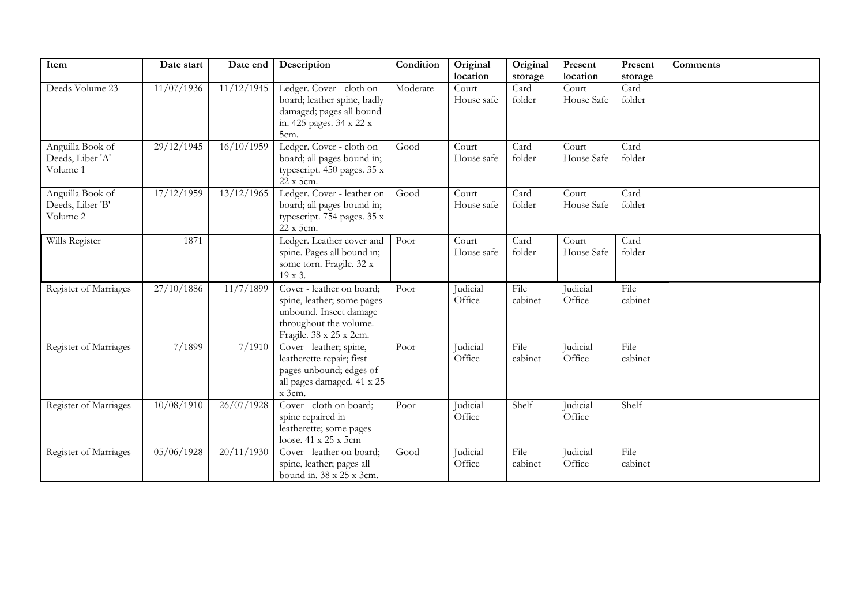| Item                                             | Date start | Date end   | Description                                                                                                                            | Condition | Original<br>location | Original        | Present             | Present         | <b>Comments</b> |
|--------------------------------------------------|------------|------------|----------------------------------------------------------------------------------------------------------------------------------------|-----------|----------------------|-----------------|---------------------|-----------------|-----------------|
|                                                  |            |            |                                                                                                                                        |           |                      | storage         | location            | storage         |                 |
| Deeds Volume 23                                  | 11/07/1936 | 11/12/1945 | Ledger. Cover - cloth on<br>board; leather spine, badly<br>damaged; pages all bound<br>in. 425 pages. 34 x 22 x<br>5cm.                | Moderate  | Court<br>House safe  | Card<br>folder  | Court<br>House Safe | Card<br>folder  |                 |
| Anguilla Book of<br>Deeds, Liber 'A'<br>Volume 1 | 29/12/1945 | 16/10/1959 | Ledger. Cover - cloth on<br>board; all pages bound in;<br>typescript. 450 pages. 35 x<br>22 x 5cm.                                     | Good      | Court<br>House safe  | Card<br>folder  | Court<br>House Safe | Card<br>folder  |                 |
| Anguilla Book of<br>Deeds, Liber 'B'<br>Volume 2 | 17/12/1959 | 13/12/1965 | Ledger. Cover - leather on<br>board; all pages bound in;<br>typescript. 754 pages. 35 x<br>22 x 5cm.                                   | Good      | Court<br>House safe  | Card<br>folder  | Court<br>House Safe | Card<br>folder  |                 |
| Wills Register                                   | 1871       |            | Ledger. Leather cover and<br>spine. Pages all bound in;<br>some torn. Fragile. 32 x<br>19 x 3.                                         | Poor      | Court<br>House safe  | Card<br>folder  | Court<br>House Safe | Card<br>folder  |                 |
| Register of Marriages                            | 27/10/1886 | 11/7/1899  | Cover - leather on board;<br>spine, leather; some pages<br>unbound. Insect damage<br>throughout the volume.<br>Fragile. 38 x 25 x 2cm. | Poor      | Judicial<br>Office   | File<br>cabinet | Judicial<br>Office  | File<br>cabinet |                 |
| Register of Marriages                            | 7/1899     | 7/1910     | Cover - leather; spine,<br>leatherette repair; first<br>pages unbound; edges of<br>all pages damaged. 41 x 25<br>$x$ 3cm.              | Poor      | Judicial<br>Office   | File<br>cabinet | Judicial<br>Office  | File<br>cabinet |                 |
| Register of Marriages                            | 10/08/1910 | 26/07/1928 | Cover - cloth on board;<br>spine repaired in<br>leatherette; some pages<br>loose. 41 x 25 x 5cm                                        | Poor      | Judicial<br>Office   | Shelf           | Judicial<br>Office  | Shelf           |                 |
| Register of Marriages                            | 05/06/1928 | 20/11/1930 | Cover - leather on board;<br>spine, leather; pages all<br>bound in. 38 x 25 x 3cm.                                                     | Good      | Judicial<br>Office   | File<br>cabinet | Judicial<br>Office  | File<br>cabinet |                 |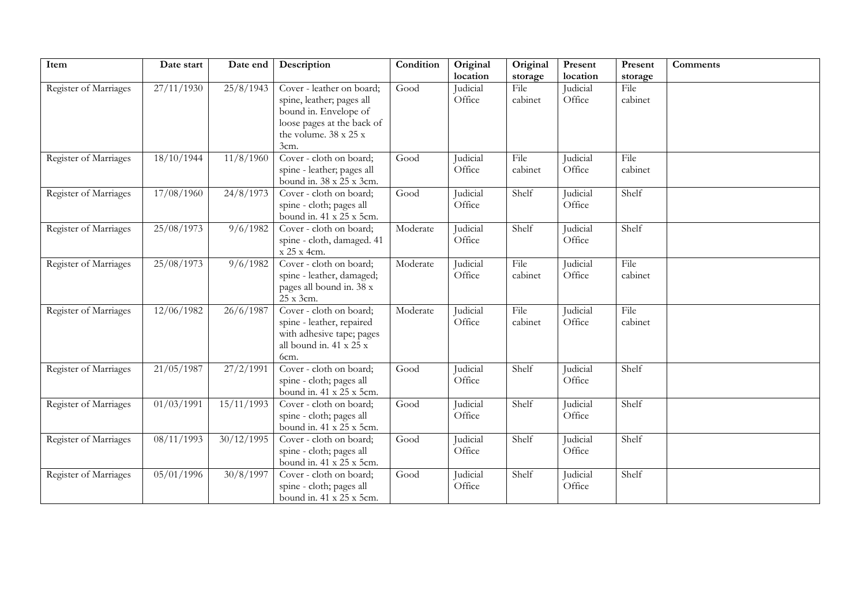| Item                  | Date start | Date end   | Description                                                                                                                            | Condition | Original<br>location | Original                   | Present<br>location | Present                    | <b>Comments</b> |
|-----------------------|------------|------------|----------------------------------------------------------------------------------------------------------------------------------------|-----------|----------------------|----------------------------|---------------------|----------------------------|-----------------|
| Register of Marriages | 27/11/1930 | 25/8/1943  | Cover - leather on board;<br>spine, leather; pages all<br>bound in. Envelope of<br>loose pages at the back of<br>the volume. 38 x 25 x | Good      | Judicial<br>Office   | storage<br>File<br>cabinet | Judicial<br>Office  | storage<br>File<br>cabinet |                 |
| Register of Marriages | 18/10/1944 | 11/8/1960  | 3cm.<br>Cover - cloth on board;<br>spine - leather; pages all<br>bound in. 38 x 25 x 3cm.                                              | Good      | Judicial<br>Office   | File<br>cabinet            | Judicial<br>Office  | File<br>cabinet            |                 |
| Register of Marriages | 17/08/1960 | 24/8/1973  | Cover - cloth on board;<br>spine - cloth; pages all<br>bound in. 41 x 25 x 5cm.                                                        | Good      | Judicial<br>Office   | Shelf                      | Judicial<br>Office  | Shelf                      |                 |
| Register of Marriages | 25/08/1973 | 9/6/1982   | Cover - cloth on board;<br>spine - cloth, damaged. 41<br>x 25 x 4cm.                                                                   | Moderate  | Judicial<br>Office   | Shelf                      | Judicial<br>Office  | Shelf                      |                 |
| Register of Marriages | 25/08/1973 | 9/6/1982   | Cover - cloth on board;<br>spine - leather, damaged;<br>pages all bound in. 38 x<br>25 x 3cm.                                          | Moderate  | Judicial<br>Office   | File<br>cabinet            | Judicial<br>Office  | File<br>cabinet            |                 |
| Register of Marriages | 12/06/1982 | 26/6/1987  | Cover - cloth on board;<br>spine - leather, repaired<br>with adhesive tape; pages<br>all bound in. 41 x 25 x<br>6cm.                   | Moderate  | Judicial<br>Office   | File<br>cabinet            | Judicial<br>Office  | File<br>cabinet            |                 |
| Register of Marriages | 21/05/1987 | 27/2/1991  | Cover - cloth on board;<br>spine - cloth; pages all<br>bound in. 41 x 25 x 5cm.                                                        | Good      | Judicial<br>Office   | Shelf                      | Judicial<br>Office  | Shelf                      |                 |
| Register of Marriages | 01/03/1991 | 15/11/1993 | Cover - cloth on board;<br>spine - cloth; pages all<br>bound in. 41 x 25 x 5cm.                                                        | Good      | Judicial<br>Office   | Shelf                      | Judicial<br>Office  | Shelf                      |                 |
| Register of Marriages | 08/11/1993 | 30/12/1995 | Cover - cloth on board;<br>spine - cloth; pages all<br>bound in. 41 x 25 x 5cm.                                                        | Good      | Judicial<br>Office   | Shelf                      | Judicial<br>Office  | Shelf                      |                 |
| Register of Marriages | 05/01/1996 | 30/8/1997  | Cover - cloth on board;<br>spine - cloth; pages all<br>bound in. 41 x 25 x 5cm.                                                        | Good      | Judicial<br>Office   | Shelf                      | Judicial<br>Office  | Shelf                      |                 |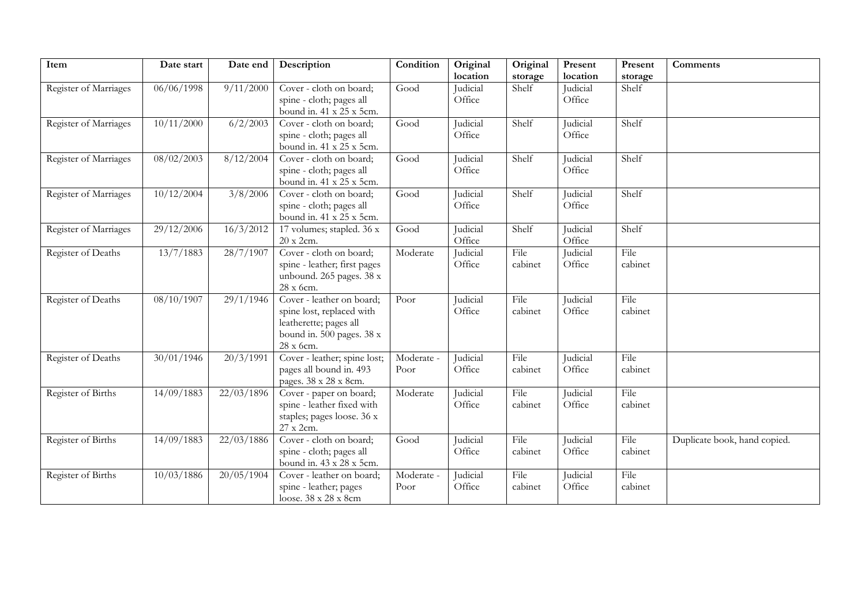| Item                  | Date start | Date end   | Description                                                                                                                | Condition          | Original           | Original        | Present            | Present         | Comments                     |
|-----------------------|------------|------------|----------------------------------------------------------------------------------------------------------------------------|--------------------|--------------------|-----------------|--------------------|-----------------|------------------------------|
|                       |            |            |                                                                                                                            |                    | location           | storage         | location           | storage         |                              |
| Register of Marriages | 06/06/1998 | 9/11/2000  | Cover - cloth on board;<br>spine - cloth; pages all<br>bound in. 41 x 25 x 5cm.                                            | Good               | Judicial<br>Office | Shelf           | Judicial<br>Office | Shelf           |                              |
| Register of Marriages | 10/11/2000 | 6/2/2003   | Cover - cloth on board;<br>spine - cloth; pages all<br>bound in. 41 x 25 x 5cm.                                            | Good               | Judicial<br>Office | Shelf           | Judicial<br>Office | Shelf           |                              |
| Register of Marriages | 08/02/2003 | 8/12/2004  | Cover - cloth on board;<br>spine - cloth; pages all<br>bound in. 41 x 25 x 5cm.                                            | Good               | Judicial<br>Office | Shelf           | Judicial<br>Office | Shelf           |                              |
| Register of Marriages | 10/12/2004 | 3/8/2006   | Cover - cloth on board;<br>spine - cloth; pages all<br>bound in. 41 x 25 x 5cm.                                            | Good               | Judicial<br>Office | Shelf           | Judicial<br>Office | Shelf           |                              |
| Register of Marriages | 29/12/2006 | 16/3/2012  | 17 volumes; stapled. 36 x<br>20 x 2cm.                                                                                     | Good               | Judicial<br>Office | Shelf           | Judicial<br>Office | Shelf           |                              |
| Register of Deaths    | 13/7/1883  | 28/7/1907  | Cover - cloth on board;<br>spine - leather; first pages<br>unbound. 265 pages. 38 x<br>28 x 6cm.                           | Moderate           | Judicial<br>Office | File<br>cabinet | Judicial<br>Office | File<br>cabinet |                              |
| Register of Deaths    | 08/10/1907 | 29/1/1946  | Cover - leather on board;<br>spine lost, replaced with<br>leatherette; pages all<br>bound in. 500 pages. 38 x<br>28 x 6cm. | Poor               | Judicial<br>Office | File<br>cabinet | Judicial<br>Office | File<br>cabinet |                              |
| Register of Deaths    | 30/01/1946 | 20/3/1991  | Cover - leather; spine lost;<br>pages all bound in. 493<br>pages. 38 x 28 x 8cm.                                           | Moderate -<br>Poor | Judicial<br>Office | File<br>cabinet | Judicial<br>Office | File<br>cabinet |                              |
| Register of Births    | 14/09/1883 | 22/03/1896 | Cover - paper on board;<br>spine - leather fixed with<br>staples; pages loose. 36 x<br>27 x 2cm.                           | Moderate           | Judicial<br>Office | File<br>cabinet | Judicial<br>Office | File<br>cabinet |                              |
| Register of Births    | 14/09/1883 | 22/03/1886 | Cover - cloth on board;<br>spine - cloth; pages all<br>bound in. 43 x 28 x 5cm.                                            | Good               | Judicial<br>Office | File<br>cabinet | Judicial<br>Office | File<br>cabinet | Duplicate book, hand copied. |
| Register of Births    | 10/03/1886 | 20/05/1904 | Cover - leather on board;<br>spine - leather; pages<br>loose. 38 x 28 x 8cm                                                | Moderate -<br>Poor | Judicial<br>Office | File<br>cabinet | Judicial<br>Office | File<br>cabinet |                              |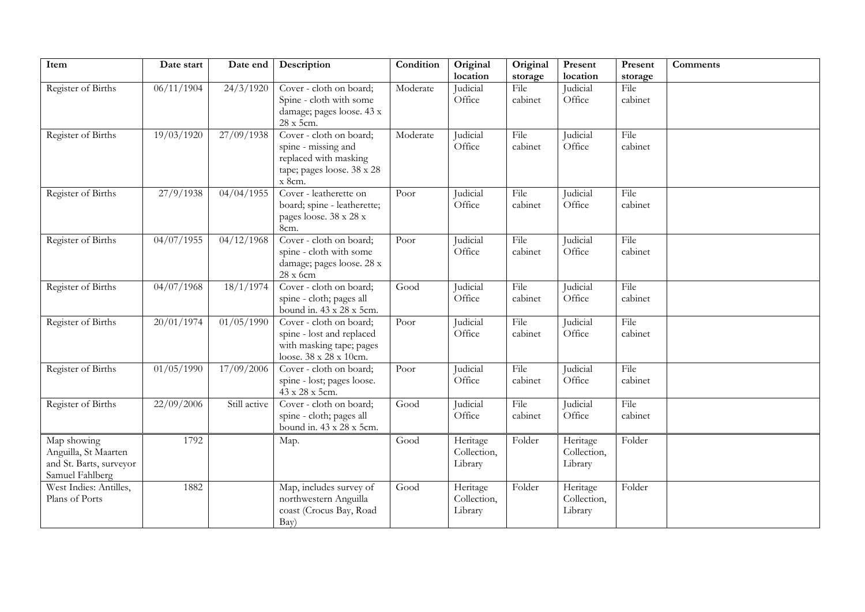| Item                                                                              | Date start | Date end     | Description                                                                                                     | Condition | Original                           | Original        | Present                            | Present         | Comments |
|-----------------------------------------------------------------------------------|------------|--------------|-----------------------------------------------------------------------------------------------------------------|-----------|------------------------------------|-----------------|------------------------------------|-----------------|----------|
|                                                                                   |            |              |                                                                                                                 |           | location                           | storage         | location                           | storage         |          |
| Register of Births                                                                | 06/11/1904 | 24/3/1920    | Cover - cloth on board;<br>Spine - cloth with some<br>damage; pages loose. 43 x<br>28 x 5cm.                    | Moderate  | Judicial<br>Office                 | File<br>cabinet | Judicial<br>Office                 | File<br>cabinet |          |
| Register of Births                                                                | 19/03/1920 | 27/09/1938   | Cover - cloth on board;<br>spine - missing and<br>replaced with masking<br>tape; pages loose. 38 x 28<br>x 8cm. | Moderate  | Judicial<br>Office                 | File<br>cabinet | Judicial<br>Office                 | File<br>cabinet |          |
| Register of Births                                                                | 27/9/1938  | 04/04/1955   | Cover - leatherette on<br>board; spine - leatherette;<br>pages loose. 38 x 28 x<br>8cm.                         | Poor      | Judicial<br>Office                 | File<br>cabinet | Judicial<br>Office                 | File<br>cabinet |          |
| Register of Births                                                                | 04/07/1955 | 04/12/1968   | Cover - cloth on board;<br>spine - cloth with some<br>damage; pages loose. 28 x<br>28 x 6cm                     | Poor      | Judicial<br>Office                 | File<br>cabinet | Judicial<br>Office                 | File<br>cabinet |          |
| Register of Births                                                                | 04/07/1968 | 18/1/1974    | Cover - cloth on board;<br>spine - cloth; pages all<br>bound in. 43 x 28 x 5cm.                                 | Good      | Judicial<br>Office                 | File<br>cabinet | Judicial<br>Office                 | File<br>cabinet |          |
| Register of Births                                                                | 20/01/1974 | 01/05/1990   | Cover - cloth on board;<br>spine - lost and replaced<br>with masking tape; pages<br>loose. 38 x 28 x 10cm.      | Poor      | Judicial<br>Office                 | File<br>cabinet | Judicial<br>Office                 | File<br>cabinet |          |
| Register of Births                                                                | 01/05/1990 | 17/09/2006   | Cover - cloth on board;<br>spine - lost; pages loose.<br>43 x 28 x 5cm.                                         | Poor      | Judicial<br>Office                 | File<br>cabinet | Judicial<br>Office                 | File<br>cabinet |          |
| Register of Births                                                                | 22/09/2006 | Still active | Cover - cloth on board;<br>spine - cloth; pages all<br>bound in. 43 x 28 x 5cm.                                 | Good      | Judicial<br>Office                 | File<br>cabinet | Judicial<br>Office                 | File<br>cabinet |          |
| Map showing<br>Anguilla, St Maarten<br>and St. Barts, surveyor<br>Samuel Fahlberg | 1792       |              | Map.                                                                                                            | Good      | Heritage<br>Collection,<br>Library | Folder          | Heritage<br>Collection,<br>Library | Folder          |          |
| West Indies: Antilles,<br>Plans of Ports                                          | 1882       |              | Map, includes survey of<br>northwestern Anguilla<br>coast (Crocus Bay, Road<br>Bay)                             | Good      | Heritage<br>Collection,<br>Library | Folder          | Heritage<br>Collection,<br>Library | Folder          |          |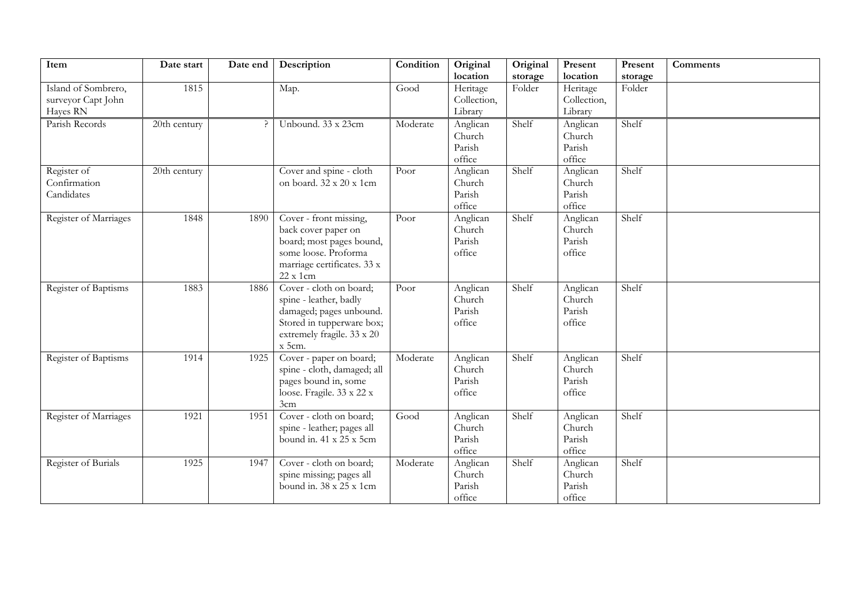| Item                  | Date start   | Date end | Description                             | Condition | Original    | Original | Present     | Present | Comments |
|-----------------------|--------------|----------|-----------------------------------------|-----------|-------------|----------|-------------|---------|----------|
|                       |              |          |                                         |           | location    | storage  | location    | storage |          |
| Island of Sombrero,   | 1815         |          | Map.                                    | Good      | Heritage    | Folder   | Heritage    | Folder  |          |
| surveyor Capt John    |              |          |                                         |           | Collection, |          | Collection, |         |          |
| Hayes RN              |              |          |                                         |           | Library     |          | Library     |         |          |
| Parish Records        | 20th century |          | Unbound. 33 x 23cm                      | Moderate  | Anglican    | Shelf    | Anglican    | Shelf   |          |
|                       |              |          |                                         |           | Church      |          | Church      |         |          |
|                       |              |          |                                         |           | Parish      |          | Parish      |         |          |
|                       |              |          |                                         |           | office      |          | office      |         |          |
| Register of           | 20th century |          | Cover and spine - cloth                 | Poor      | Anglican    | Shelf    | Anglican    | Shelf   |          |
| Confirmation          |              |          | on board. 32 x 20 x 1cm                 |           | Church      |          | Church      |         |          |
| Candidates            |              |          |                                         |           | Parish      |          | Parish      |         |          |
|                       |              |          |                                         |           | office      |          | office      |         |          |
| Register of Marriages | 1848         | 1890     | Cover - front missing,                  | Poor      | Anglican    | Shelf    | Anglican    | Shelf   |          |
|                       |              |          | back cover paper on                     |           | Church      |          | Church      |         |          |
|                       |              |          | board; most pages bound,                |           | Parish      |          | Parish      |         |          |
|                       |              |          | some loose. Proforma                    |           | office      |          | office      |         |          |
|                       |              |          | marriage certificates. 33 x<br>22 x 1cm |           |             |          |             |         |          |
| Register of Baptisms  | 1883         | 1886     | Cover - cloth on board;                 | Poor      | Anglican    | Shelf    | Anglican    | Shelf   |          |
|                       |              |          | spine - leather, badly                  |           | Church      |          | Church      |         |          |
|                       |              |          | damaged; pages unbound.                 |           | Parish      |          | Parish      |         |          |
|                       |              |          | Stored in tupperware box;               |           | office      |          | office      |         |          |
|                       |              |          | extremely fragile. 33 x 20              |           |             |          |             |         |          |
|                       |              |          | $x$ 5cm.                                |           |             |          |             |         |          |
| Register of Baptisms  | 1914         | 1925     | Cover - paper on board;                 | Moderate  | Anglican    | Shelf    | Anglican    | Shelf   |          |
|                       |              |          | spine - cloth, damaged; all             |           | Church      |          | Church      |         |          |
|                       |              |          | pages bound in, some                    |           | Parish      |          | Parish      |         |          |
|                       |              |          | loose. Fragile. 33 x 22 x               |           | office      |          | office      |         |          |
|                       |              |          | 3cm                                     |           |             |          |             |         |          |
| Register of Marriages | 1921         | 1951     | Cover - cloth on board;                 | Good      | Anglican    | Shelf    | Anglican    | Shelf   |          |
|                       |              |          | spine - leather; pages all              |           | Church      |          | Church      |         |          |
|                       |              |          | bound in. 41 x 25 x 5cm                 |           | Parish      |          | Parish      |         |          |
|                       |              |          |                                         |           | office      |          | office      |         |          |
| Register of Burials   | 1925         | 1947     | Cover - cloth on board;                 | Moderate  | Anglican    | Shelf    | Anglican    | Shelf   |          |
|                       |              |          | spine missing; pages all                |           | Church      |          | Church      |         |          |
|                       |              |          | bound in. 38 x 25 x 1cm                 |           | Parish      |          | Parish      |         |          |
|                       |              |          |                                         |           | office      |          | office      |         |          |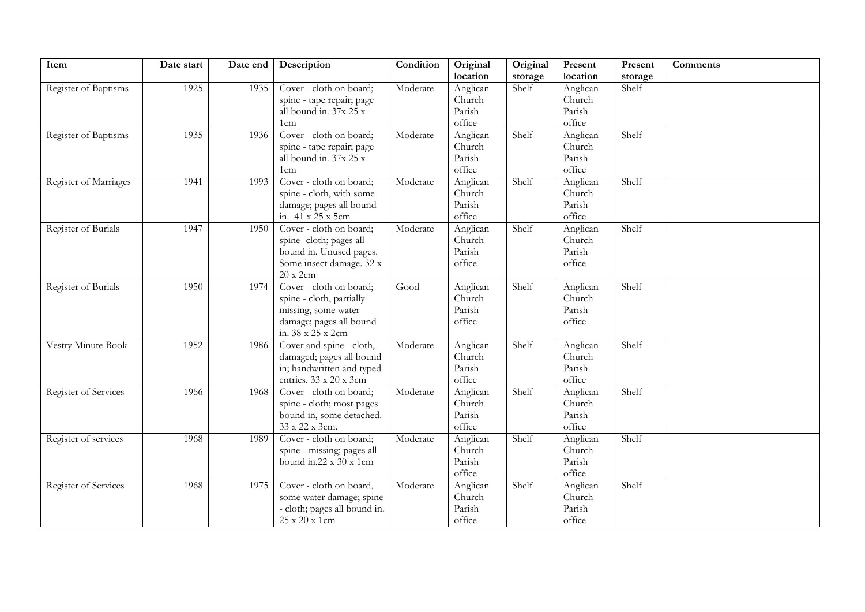| Item                  | Date start | Date end | Description                  | Condition | Original | Original | Present  | Present | Comments |
|-----------------------|------------|----------|------------------------------|-----------|----------|----------|----------|---------|----------|
|                       |            |          |                              |           | location | storage  | location | storage |          |
| Register of Baptisms  | 1925       | 1935     | Cover - cloth on board;      | Moderate  | Anglican | Shelf    | Anglican | Shelf   |          |
|                       |            |          | spine - tape repair; page    |           | Church   |          | Church   |         |          |
|                       |            |          | all bound in. 37x 25 x       |           | Parish   |          | Parish   |         |          |
|                       |            |          | 1cm                          |           | office   |          | office   |         |          |
| Register of Baptisms  | 1935       | 1936     | Cover - cloth on board;      | Moderate  | Anglican | Shelf    | Anglican | Shelf   |          |
|                       |            |          | spine - tape repair; page    |           | Church   |          | Church   |         |          |
|                       |            |          | all bound in. 37x 25 x       |           | Parish   |          | Parish   |         |          |
|                       |            |          | 1 <sub>cm</sub>              |           | office   |          | office   |         |          |
| Register of Marriages | 1941       | 1993     | Cover - cloth on board;      | Moderate  | Anglican | Shelf    | Anglican | Shelf   |          |
|                       |            |          | spine - cloth, with some     |           | Church   |          | Church   |         |          |
|                       |            |          | damage; pages all bound      |           | Parish   |          | Parish   |         |          |
|                       |            |          | in. 41 x 25 x 5cm            |           | office   |          | office   |         |          |
| Register of Burials   | 1947       | 1950     | Cover - cloth on board;      | Moderate  | Anglican | Shelf    | Anglican | Shelf   |          |
|                       |            |          | spine -cloth; pages all      |           | Church   |          | Church   |         |          |
|                       |            |          | bound in. Unused pages.      |           | Parish   |          | Parish   |         |          |
|                       |            |          | Some insect damage. 32 x     |           | office   |          | office   |         |          |
|                       |            |          | 20 x 2cm                     |           |          |          |          |         |          |
| Register of Burials   | 1950       | 1974     | Cover - cloth on board;      | Good      | Anglican | Shelf    | Anglican | Shelf   |          |
|                       |            |          | spine - cloth, partially     |           | Church   |          | Church   |         |          |
|                       |            |          | missing, some water          |           | Parish   |          | Parish   |         |          |
|                       |            |          | damage; pages all bound      |           | office   |          | office   |         |          |
|                       |            |          | in. 38 x 25 x 2cm            |           |          |          |          |         |          |
| Vestry Minute Book    | 1952       | 1986     | Cover and spine - cloth,     | Moderate  | Anglican | Shelf    | Anglican | Shelf   |          |
|                       |            |          | damaged; pages all bound     |           | Church   |          | Church   |         |          |
|                       |            |          | in; handwritten and typed    |           | Parish   |          | Parish   |         |          |
|                       |            |          | entries. 33 x 20 x 3cm       |           | office   |          | office   |         |          |
| Register of Services  | 1956       | 1968     | Cover - cloth on board;      | Moderate  | Anglican | Shelf    | Anglican | Shelf   |          |
|                       |            |          | spine - cloth; most pages    |           | Church   |          | Church   |         |          |
|                       |            |          | bound in, some detached.     |           | Parish   |          | Parish   |         |          |
|                       |            |          | 33 x 22 x 3cm.               |           | office   |          | office   |         |          |
| Register of services  | 1968       | 1989     | Cover - cloth on board;      | Moderate  | Anglican | Shelf    | Anglican | Shelf   |          |
|                       |            |          | spine - missing; pages all   |           | Church   |          | Church   |         |          |
|                       |            |          | bound in 22 x 30 x 1cm       |           | Parish   |          | Parish   |         |          |
|                       |            |          |                              |           | office   |          | office   |         |          |
| Register of Services  | 1968       | 1975     | Cover - cloth on board,      | Moderate  | Anglican | Shelf    | Anglican | Shelf   |          |
|                       |            |          | some water damage; spine     |           | Church   |          | Church   |         |          |
|                       |            |          | - cloth; pages all bound in. |           | Parish   |          | Parish   |         |          |
|                       |            |          | 25 x 20 x 1cm                |           | office   |          | office   |         |          |